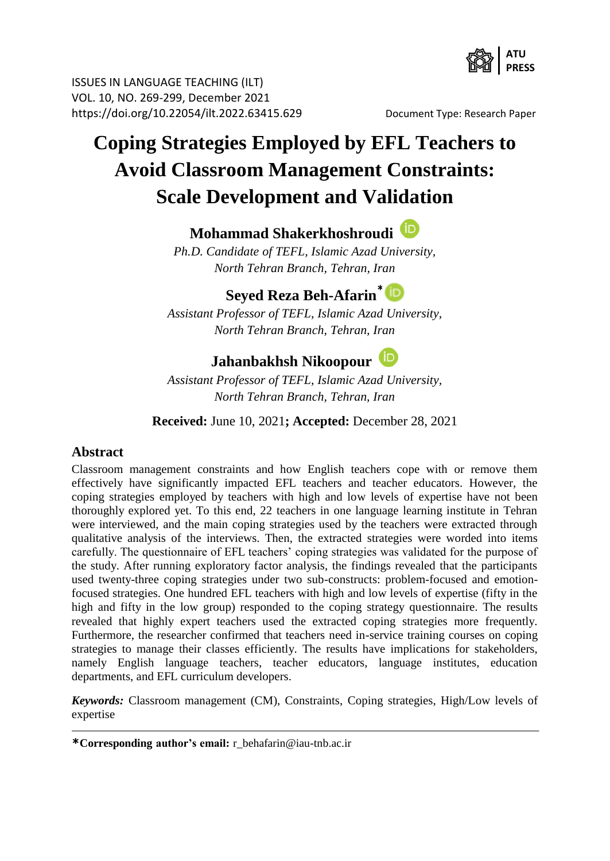

ISSUES IN LANGUAGE TEACHING (ILT) VOL. 10, NO. 269-299, December 2021 https://doi.org/10.22054/ilt.2022.63415.629 Document Type: Research Paper

# **Coping Strategies Employed by EFL Teachers to Avoid Classroom Management Constraints: Scale Development and Validation**

### **Mohammad Shakerkhoshroudi**

*Ph.D. Candidate of TEFL, Islamic Azad University, North Tehran Branch, Tehran, Iran*

## **Seyed Reza Beh-Afarin[\\*](https://orcid.org/0000-0001-8666-9458)**

*Assistant Professor of TEFL, Islamic Azad University, North Tehran Branch, Tehran, Iran*

## **Jahanbakhsh Nikoopour**

*Assistant Professor of TEFL, Islamic Azad University, North Tehran Branch, Tehran, Iran*

**Received:** June 10, 2021**; Accepted:** December 28, 2021

#### **Abstract**

Classroom management constraints and how English teachers cope with or remove them effectively have significantly impacted EFL teachers and teacher educators. However, the coping strategies employed by teachers with high and low levels of expertise have not been thoroughly explored yet. To this end, 22 teachers in one language learning institute in Tehran were interviewed, and the main coping strategies used by the teachers were extracted through qualitative analysis of the interviews. Then, the extracted strategies were worded into items carefully. The questionnaire of EFL teachers' coping strategies was validated for the purpose of the study. After running exploratory factor analysis, the findings revealed that the participants used twenty-three coping strategies under two sub-constructs: problem-focused and emotionfocused strategies. One hundred EFL teachers with high and low levels of expertise (fifty in the high and fifty in the low group) responded to the coping strategy questionnaire. The results revealed that highly expert teachers used the extracted coping strategies more frequently. Furthermore, the researcher confirmed that teachers need in-service training courses on coping strategies to manage their classes efficiently. The results have implications for stakeholders, namely English language teachers, teacher educators, language institutes, education departments, and EFL curriculum developers.

*Keywords:* Classroom management (CM), Constraints, Coping strategies, High/Low levels of expertise

**<sup>\*</sup>Corresponding author's email:** r\_behafarin@iau-tnb.ac.ir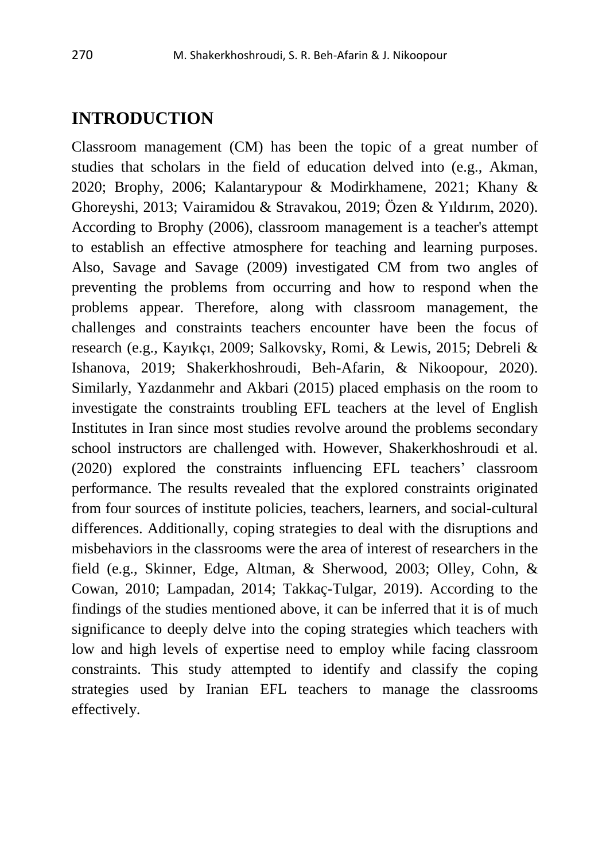### **INTRODUCTION**

Classroom management (CM) has been the topic of a great number of studies that scholars in the field of education delved into (e.g., Akman, 2020; Brophy, 2006; Kalantarypour & Modirkhamene, 2021; Khany & Ghoreyshi, 2013; [Vairamidou](https://www.researchgate.net/profile/Aikaterini_Vairamidou) & [Stravakou,](https://www.researchgate.net/profile/Pela_Stravakou) 2019; Özen & Yıldırım, 2020). According to Brophy (2006), classroom management is a teacher's attempt to establish an effective atmosphere for teaching and learning purposes. Also, Savage and Savage (2009) investigated CM from two angles of preventing the problems from occurring and how to respond when the problems appear. Therefore, along with classroom management, the challenges and constraints teachers encounter have been the focus of research (e.g., Kayıkçı, 2009; Salkovsky, Romi, & Lewis, 2015; Debreli & Ishanova, 2019; Shakerkhoshroudi, Beh-Afarin, & Nikoopour, 2020). Similarly, Yazdanmehr and Akbari (2015) placed emphasis on the room to investigate the constraints troubling EFL teachers at the level of English Institutes in Iran since most studies revolve around the problems secondary school instructors are challenged with. However, Shakerkhoshroudi et al. (2020) explored the constraints influencing EFL teachers' classroom performance. The results revealed that the explored constraints originated from four sources of institute policies, teachers, learners, and social-cultural differences. Additionally, coping strategies to deal with the disruptions and misbehaviors in the classrooms were the area of interest of researchers in the field (e.g., Skinner, Edge, Altman, & Sherwood, 2003; Olley, Cohn, & Cowan, 2010; Lampadan, 2014; Takkaç-Tulgar, 2019). According to the findings of the studies mentioned above, it can be inferred that it is of much significance to deeply delve into the coping strategies which teachers with low and high levels of expertise need to employ while facing classroom constraints. This study attempted to identify and classify the coping strategies used by Iranian EFL teachers to manage the classrooms effectively.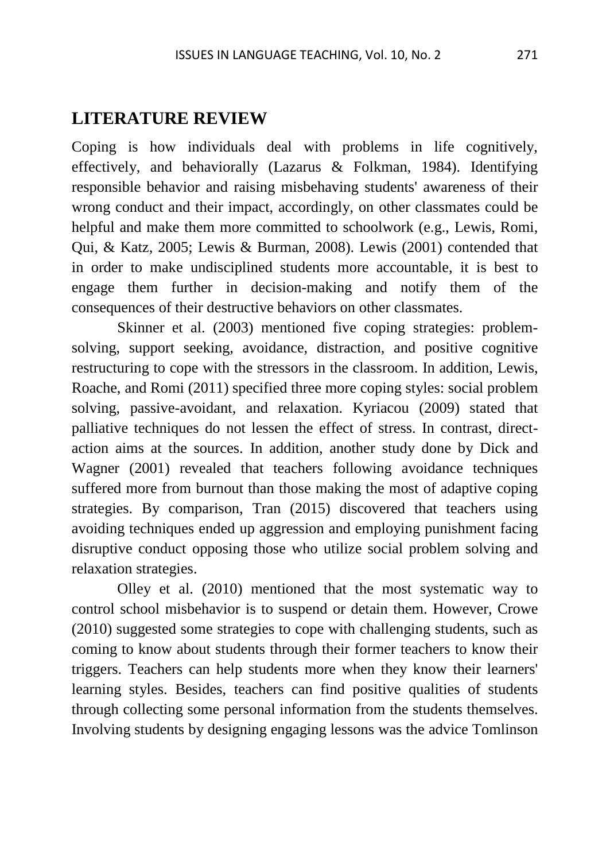#### **LITERATURE REVIEW**

Coping is how individuals deal with problems in life cognitively, effectively, and behaviorally (Lazarus & Folkman, 1984). Identifying responsible behavior and raising misbehaving students' awareness of their wrong conduct and their impact, accordingly, on other classmates could be helpful and make them more committed to schoolwork (e.g., Lewis, Romi, Qui, & Katz, 2005; Lewis & Burman, 2008). Lewis (2001) contended that in order to make undisciplined students more accountable, it is best to engage them further in decision-making and notify them of the consequences of their destructive behaviors on other classmates.

Skinner et al. (2003) mentioned five coping strategies: problemsolving, support seeking, avoidance, distraction, and positive cognitive restructuring to cope with the stressors in the classroom. In addition, Lewis, Roache, and Romi (2011) specified three more coping styles: social problem solving, passive-avoidant, and relaxation. Kyriacou (2009) stated that palliative techniques do not lessen the effect of stress. In contrast, directaction aims at the sources. In addition, another study done by Dick and Wagner (2001) revealed that teachers following avoidance techniques suffered more from burnout than those making the most of adaptive coping strategies. By comparison, Tran (2015) discovered that teachers using avoiding techniques ended up aggression and employing punishment facing disruptive conduct opposing those who utilize social problem solving and relaxation strategies.

Olley et al. (2010) mentioned that the most systematic way to control school misbehavior is to suspend or detain them. However, Crowe (2010) suggested some strategies to cope with challenging students, such as coming to know about students through their former teachers to know their triggers. Teachers can help students more when they know their learners' learning styles. Besides, teachers can find positive qualities of students through collecting some personal information from the students themselves. Involving students by designing engaging lessons was the advice Tomlinson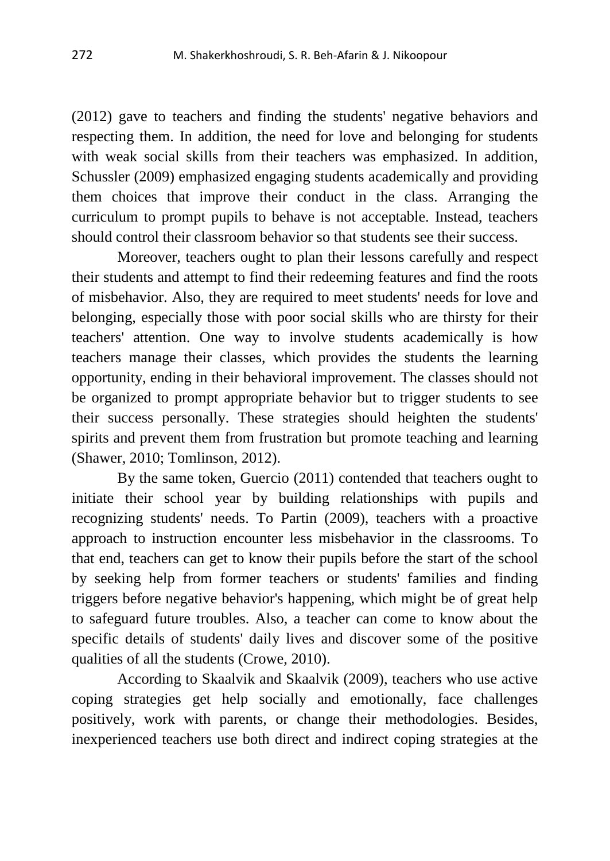(2012) gave to teachers and finding the students' negative behaviors and respecting them. In addition, the need for love and belonging for students with weak social skills from their teachers was emphasized. In addition, Schussler (2009) emphasized engaging students academically and providing them choices that improve their conduct in the class. Arranging the curriculum to prompt pupils to behave is not acceptable. Instead, teachers should control their classroom behavior so that students see their success.

Moreover, teachers ought to plan their lessons carefully and respect their students and attempt to find their redeeming features and find the roots of misbehavior. Also, they are required to meet students' needs for love and belonging, especially those with poor social skills who are thirsty for their teachers' attention. One way to involve students academically is how teachers manage their classes, which provides the students the learning opportunity, ending in their behavioral improvement. The classes should not be organized to prompt appropriate behavior but to trigger students to see their success personally. These strategies should heighten the students' spirits and prevent them from frustration but promote teaching and learning (Shawer, 2010; Tomlinson, 2012).

By the same token, Guercio (2011) contended that teachers ought to initiate their school year by building relationships with pupils and recognizing students' needs. To Partin (2009), teachers with a proactive approach to instruction encounter less misbehavior in the classrooms. To that end, teachers can get to know their pupils before the start of the school by seeking help from former teachers or students' families and finding triggers before negative behavior's happening, which might be of great help to safeguard future troubles. Also, a teacher can come to know about the specific details of students' daily lives and discover some of the positive qualities of all the students (Crowe, 2010).

According to Skaalvik and Skaalvik (2009), teachers who use active coping strategies get help socially and emotionally, face challenges positively, work with parents, or change their methodologies. Besides, inexperienced teachers use both direct and indirect coping strategies at the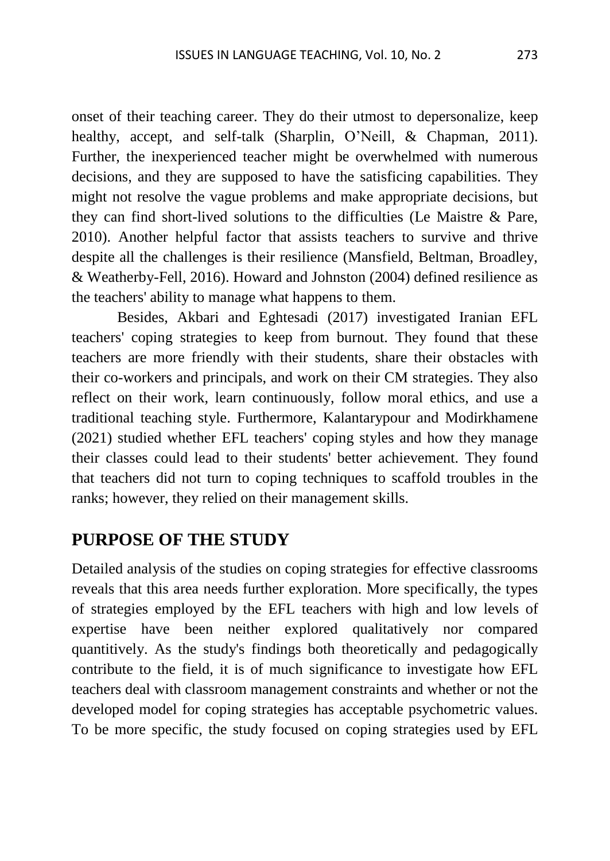onset of their teaching career. They do their utmost to depersonalize, keep healthy, accept, and self-talk (Sharplin, O'Neill, & Chapman, 2011). Further, the inexperienced teacher might be overwhelmed with numerous decisions, and they are supposed to have the satisficing capabilities. They might not resolve the vague problems and make appropriate decisions, but they can find short-lived solutions to the difficulties (Le Maistre & Pare, 2010). Another helpful factor that assists teachers to survive and thrive despite all the challenges is their resilience (Mansfield, Beltman, Broadley, & Weatherby-Fell, 2016). Howard and Johnston (2004) defined resilience as the teachers' ability to manage what happens to them.

Besides, Akbari and Eghtesadi (2017) investigated Iranian EFL teachers' coping strategies to keep from burnout. They found that these teachers are more friendly with their students, share their obstacles with their co-workers and principals, and work on their CM strategies. They also reflect on their work, learn continuously, follow moral ethics, and use a traditional teaching style. Furthermore, Kalantarypour and Modirkhamene (2021) studied whether EFL teachers' coping styles and how they manage their classes could lead to their students' better achievement. They found that teachers did not turn to coping techniques to scaffold troubles in the ranks; however, they relied on their management skills.

#### **PURPOSE OF THE STUDY**

Detailed analysis of the studies on coping strategies for effective classrooms reveals that this area needs further exploration. More specifically, the types of strategies employed by the EFL teachers with high and low levels of expertise have been neither explored qualitatively nor compared quantitively. As the study's findings both theoretically and pedagogically contribute to the field, it is of much significance to investigate how EFL teachers deal with classroom management constraints and whether or not the developed model for coping strategies has acceptable psychometric values. To be more specific, the study focused on coping strategies used by EFL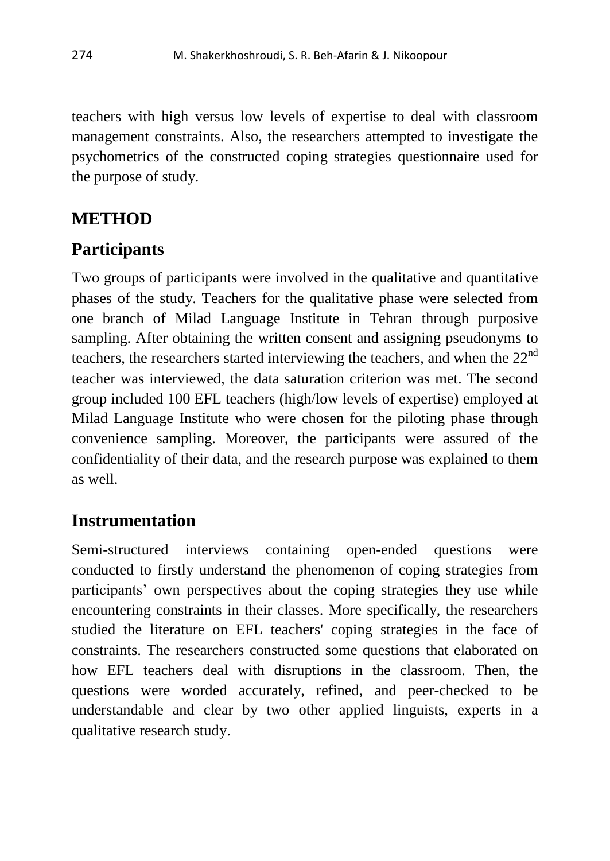teachers with high versus low levels of expertise to deal with classroom management constraints. Also, the researchers attempted to investigate the psychometrics of the constructed coping strategies questionnaire used for the purpose of study.

### **METHOD**

### **Participants**

Two groups of participants were involved in the qualitative and quantitative phases of the study. Teachers for the qualitative phase were selected from one branch of Milad Language Institute in Tehran through purposive sampling. After obtaining the written consent and assigning pseudonyms to teachers, the researchers started interviewing the teachers, and when the  $22<sup>nd</sup>$ teacher was interviewed, the data saturation criterion was met. The second group included 100 EFL teachers (high/low levels of expertise) employed at Milad Language Institute who were chosen for the piloting phase through convenience sampling. Moreover, the participants were assured of the confidentiality of their data, and the research purpose was explained to them as well.

## **Instrumentation**

Semi-structured interviews containing open-ended questions were conducted to firstly understand the phenomenon of coping strategies from participants' own perspectives about the coping strategies they use while encountering constraints in their classes. More specifically, the researchers studied the literature on EFL teachers' coping strategies in the face of constraints. The researchers constructed some questions that elaborated on how EFL teachers deal with disruptions in the classroom. Then, the questions were worded accurately, refined, and peer-checked to be understandable and clear by two other applied linguists, experts in a qualitative research study.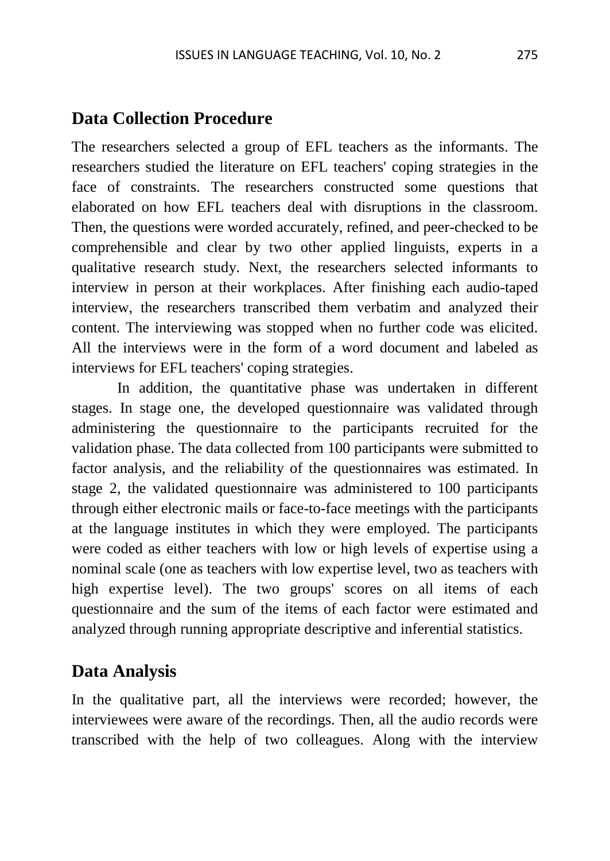### **Data Collection Procedure**

The researchers selected a group of EFL teachers as the informants. The researchers studied the literature on EFL teachers' coping strategies in the face of constraints. The researchers constructed some questions that elaborated on how EFL teachers deal with disruptions in the classroom. Then, the questions were worded accurately, refined, and peer-checked to be comprehensible and clear by two other applied linguists, experts in a qualitative research study. Next, the researchers selected informants to interview in person at their workplaces. After finishing each audio-taped interview, the researchers transcribed them verbatim and analyzed their content. The interviewing was stopped when no further code was elicited. All the interviews were in the form of a word document and labeled as interviews for EFL teachers' coping strategies.

In addition, the quantitative phase was undertaken in different stages. In stage one, the developed questionnaire was validated through administering the questionnaire to the participants recruited for the validation phase. The data collected from 100 participants were submitted to factor analysis, and the reliability of the questionnaires was estimated. In stage 2, the validated questionnaire was administered to 100 participants through either electronic mails or face-to-face meetings with the participants at the language institutes in which they were employed. The participants were coded as either teachers with low or high levels of expertise using a nominal scale (one as teachers with low expertise level, two as teachers with high expertise level). The two groups' scores on all items of each questionnaire and the sum of the items of each factor were estimated and analyzed through running appropriate descriptive and inferential statistics.

### **Data Analysis**

In the qualitative part, all the interviews were recorded; however, the interviewees were aware of the recordings. Then, all the audio records were transcribed with the help of two colleagues. Along with the interview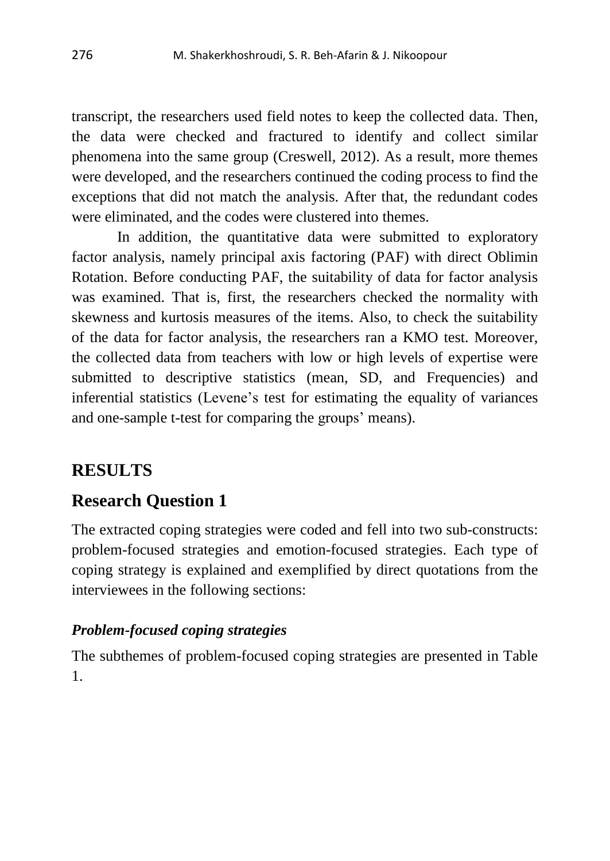transcript, the researchers used field notes to keep the collected data. Then, the data were checked and fractured to identify and collect similar phenomena into the same group (Creswell, 2012). As a result, more themes were developed, and the researchers continued the coding process to find the exceptions that did not match the analysis. After that, the redundant codes were eliminated, and the codes were clustered into themes.

In addition, the quantitative data were submitted to exploratory factor analysis, namely principal axis factoring (PAF) with direct Oblimin Rotation. Before conducting PAF, the suitability of data for factor analysis was examined. That is, first, the researchers checked the normality with skewness and kurtosis measures of the items. Also, to check the suitability of the data for factor analysis, the researchers ran a KMO test. Moreover, the collected data from teachers with low or high levels of expertise were submitted to descriptive statistics (mean, SD, and Frequencies) and inferential statistics (Levene's test for estimating the equality of variances and one-sample t-test for comparing the groups' means).

### **RESULTS**

### **Research Question 1**

The extracted coping strategies were coded and fell into two sub-constructs: problem-focused strategies and emotion-focused strategies. Each type of coping strategy is explained and exemplified by direct quotations from the interviewees in the following sections:

#### *Problem-focused coping strategies*

The subthemes of problem-focused coping strategies are presented in Table 1.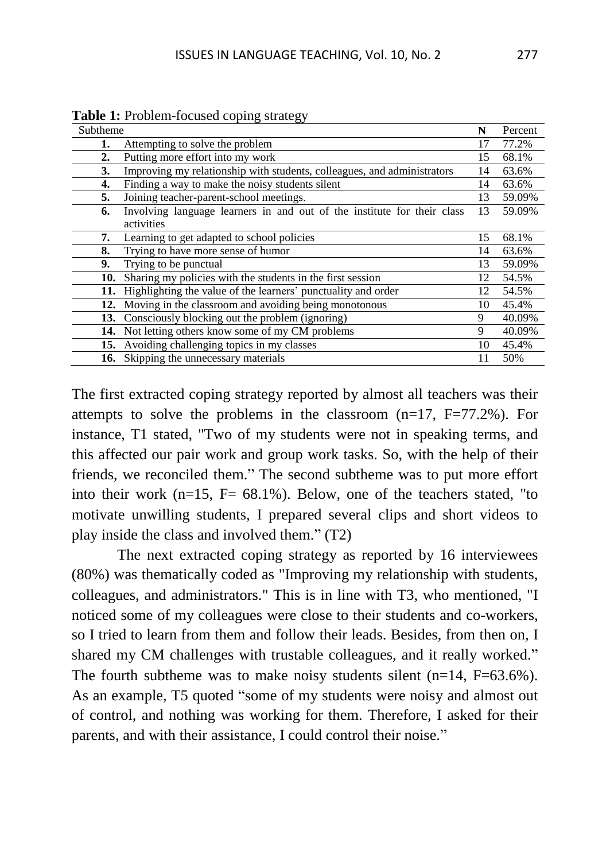| Subtheme |                                                                         | N  | Percent |
|----------|-------------------------------------------------------------------------|----|---------|
| 1.       | Attempting to solve the problem                                         | 17 | 77.2%   |
| 2.       | Putting more effort into my work                                        | 15 | 68.1%   |
| 3.       | Improving my relationship with students, colleagues, and administrators | 14 | 63.6%   |
| 4.       | Finding a way to make the noisy students silent                         | 14 | 63.6%   |
| 5.       | Joining teacher-parent-school meetings.                                 | 13 | 59.09%  |
| 6.       | Involving language learners in and out of the institute for their class | 13 | 59.09%  |
|          | activities                                                              |    |         |
| 7.       | Learning to get adapted to school policies                              | 15 | 68.1%   |
| 8.       | Trying to have more sense of humor                                      | 14 | 63.6%   |
| 9.       | Trying to be punctual                                                   | 13 | 59.09%  |
| 10.      | Sharing my policies with the students in the first session              | 12 | 54.5%   |
| 11.      | Highlighting the value of the learners' punctuality and order           | 12 | 54.5%   |
| 12.      | Moving in the classroom and avoiding being monotonous                   | 10 | 45.4%   |
| 13.      | Consciously blocking out the problem (ignoring)                         | 9  | 40.09%  |
|          | 14. Not letting others know some of my CM problems                      | 9  | 40.09%  |
|          | 15. Avoiding challenging topics in my classes                           | 10 | 45.4%   |
|          | 16. Skipping the unnecessary materials                                  |    | 50%     |
|          |                                                                         |    |         |

**Table 1:** Problem-focused coping strategy

The first extracted coping strategy reported by almost all teachers was their attempts to solve the problems in the classroom  $(n=17, F=77.2\%)$ . For instance, T1 stated, "Two of my students were not in speaking terms, and this affected our pair work and group work tasks. So, with the help of their friends, we reconciled them." The second subtheme was to put more effort into their work  $(n=15, F = 68.1\%)$ . Below, one of the teachers stated, "to motivate unwilling students, I prepared several clips and short videos to play inside the class and involved them." (T2)

The next extracted coping strategy as reported by 16 interviewees (80%) was thematically coded as "Improving my relationship with students, colleagues, and administrators." This is in line with T3, who mentioned, "I noticed some of my colleagues were close to their students and co-workers, so I tried to learn from them and follow their leads. Besides, from then on, I shared my CM challenges with trustable colleagues, and it really worked." The fourth subtheme was to make noisy students silent  $(n=14, F=63.6\%)$ . As an example, T5 quoted "some of my students were noisy and almost out of control, and nothing was working for them. Therefore, I asked for their parents, and with their assistance, I could control their noise."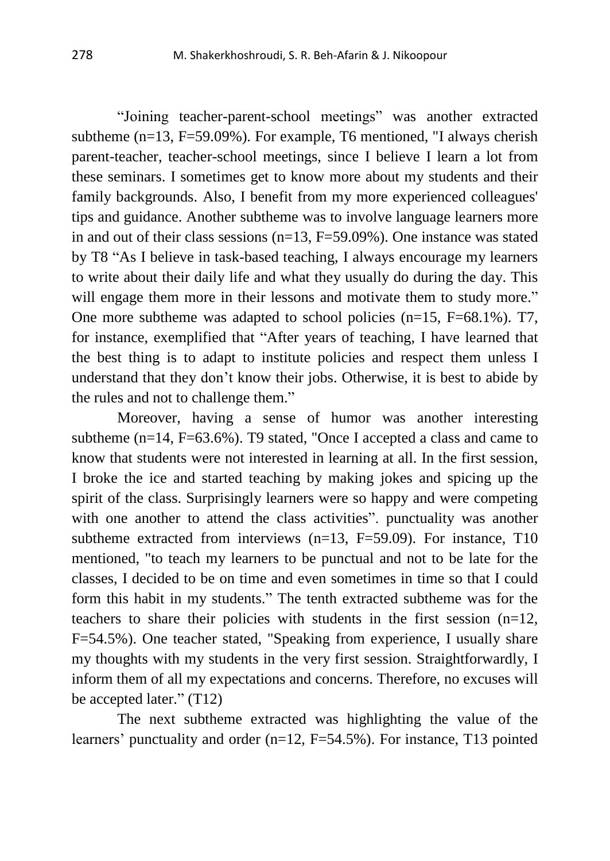"Joining teacher-parent-school meetings" was another extracted subtheme (n=13, F=59.09%). For example, T6 mentioned, "I always cherish parent-teacher, teacher-school meetings, since I believe I learn a lot from these seminars. I sometimes get to know more about my students and their family backgrounds. Also, I benefit from my more experienced colleagues' tips and guidance. Another subtheme was to involve language learners more in and out of their class sessions (n=13, F=59.09%). One instance was stated by T8 "As I believe in task-based teaching, I always encourage my learners to write about their daily life and what they usually do during the day. This will engage them more in their lessons and motivate them to study more." One more subtheme was adapted to school policies (n=15, F=68.1%). T7, for instance, exemplified that "After years of teaching, I have learned that the best thing is to adapt to institute policies and respect them unless I understand that they don't know their jobs. Otherwise, it is best to abide by the rules and not to challenge them."

Moreover, having a sense of humor was another interesting subtheme  $(n=14, F=63.6\%)$ . T9 stated, "Once I accepted a class and came to know that students were not interested in learning at all. In the first session, I broke the ice and started teaching by making jokes and spicing up the spirit of the class. Surprisingly learners were so happy and were competing with one another to attend the class activities". punctuality was another subtheme extracted from interviews (n=13, F=59.09). For instance, T10 mentioned, "to teach my learners to be punctual and not to be late for the classes, I decided to be on time and even sometimes in time so that I could form this habit in my students." The tenth extracted subtheme was for the teachers to share their policies with students in the first session (n=12, F=54.5%). One teacher stated, "Speaking from experience, I usually share my thoughts with my students in the very first session. Straightforwardly, I inform them of all my expectations and concerns. Therefore, no excuses will be accepted later." (T12)

The next subtheme extracted was highlighting the value of the learners' punctuality and order (n=12, F=54.5%). For instance, T13 pointed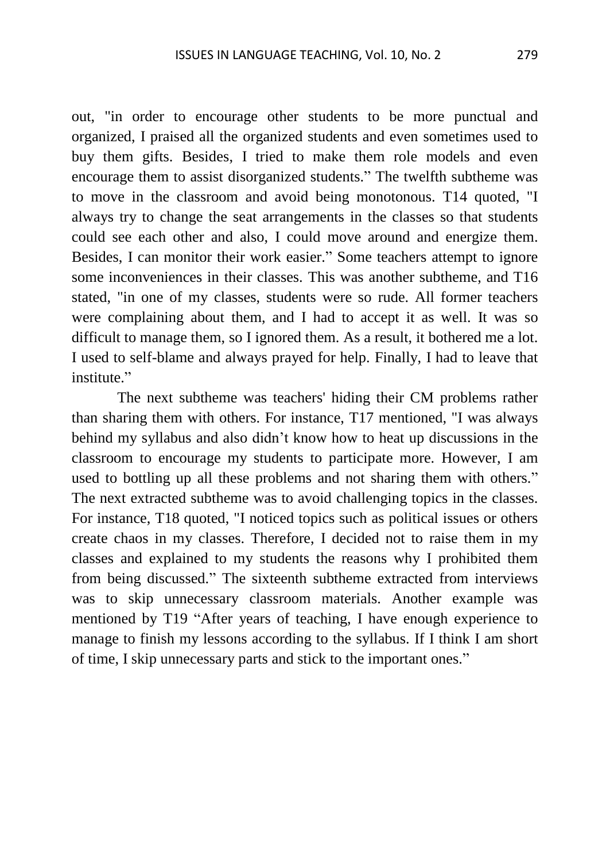out, "in order to encourage other students to be more punctual and organized, I praised all the organized students and even sometimes used to buy them gifts. Besides, I tried to make them role models and even encourage them to assist disorganized students." The twelfth subtheme was to move in the classroom and avoid being monotonous. T14 quoted, "I always try to change the seat arrangements in the classes so that students could see each other and also, I could move around and energize them. Besides, I can monitor their work easier." Some teachers attempt to ignore some inconveniences in their classes. This was another subtheme, and T16 stated, "in one of my classes, students were so rude. All former teachers were complaining about them, and I had to accept it as well. It was so difficult to manage them, so I ignored them. As a result, it bothered me a lot. I used to self-blame and always prayed for help. Finally, I had to leave that institute."

The next subtheme was teachers' hiding their CM problems rather than sharing them with others. For instance, T17 mentioned, "I was always behind my syllabus and also didn't know how to heat up discussions in the classroom to encourage my students to participate more. However, I am used to bottling up all these problems and not sharing them with others." The next extracted subtheme was to avoid challenging topics in the classes. For instance, T18 quoted, "I noticed topics such as political issues or others create chaos in my classes. Therefore, I decided not to raise them in my classes and explained to my students the reasons why I prohibited them from being discussed." The sixteenth subtheme extracted from interviews was to skip unnecessary classroom materials. Another example was mentioned by T19 "After years of teaching, I have enough experience to manage to finish my lessons according to the syllabus. If I think I am short of time, I skip unnecessary parts and stick to the important ones."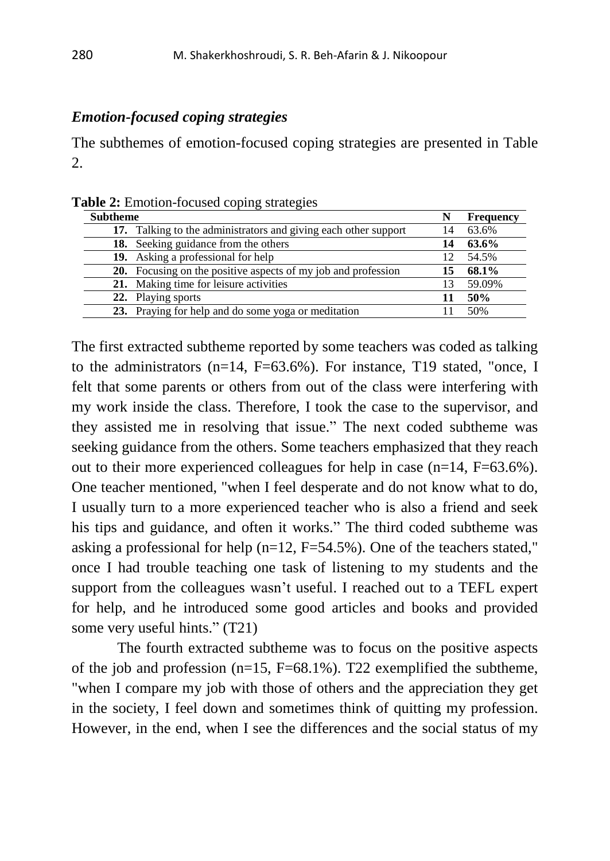#### *Emotion-focused coping strategies*

The subthemes of emotion-focused coping strategies are presented in Table 2.

| Table 2: Emotion-focused coping strategies |  |  |  |  |  |
|--------------------------------------------|--|--|--|--|--|
|--------------------------------------------|--|--|--|--|--|

| <b>Subtheme</b>                                                 |    | <b>Frequency</b> |
|-----------------------------------------------------------------|----|------------------|
| 17. Talking to the administrators and giving each other support | 14 | 63.6%            |
| <b>18.</b> Seeking guidance from the others                     | 14 | 63.6%            |
| 19. Asking a professional for help                              |    | 54.5%            |
| 20. Focusing on the positive aspects of my job and profession   | 15 | 68.1%            |
| 21. Making time for leisure activities                          | 13 | 59.09%           |
| 22. Playing sports                                              |    | 50%              |
| 23. Praying for help and do some yoga or meditation             |    | 50%              |

The first extracted subtheme reported by some teachers was coded as talking to the administrators (n=14, F=63.6%). For instance, T19 stated, "once, I felt that some parents or others from out of the class were interfering with my work inside the class. Therefore, I took the case to the supervisor, and they assisted me in resolving that issue." The next coded subtheme was seeking guidance from the others. Some teachers emphasized that they reach out to their more experienced colleagues for help in case (n=14, F=63.6%). One teacher mentioned, "when I feel desperate and do not know what to do, I usually turn to a more experienced teacher who is also a friend and seek his tips and guidance, and often it works." The third coded subtheme was asking a professional for help ( $n=12$ ,  $F=54.5\%$ ). One of the teachers stated," once I had trouble teaching one task of listening to my students and the support from the colleagues wasn't useful. I reached out to a TEFL expert for help, and he introduced some good articles and books and provided some very useful hints." (T21)

The fourth extracted subtheme was to focus on the positive aspects of the job and profession ( $n=15$ ,  $F=68.1\%$ ). T22 exemplified the subtheme, "when I compare my job with those of others and the appreciation they get in the society, I feel down and sometimes think of quitting my profession. However, in the end, when I see the differences and the social status of my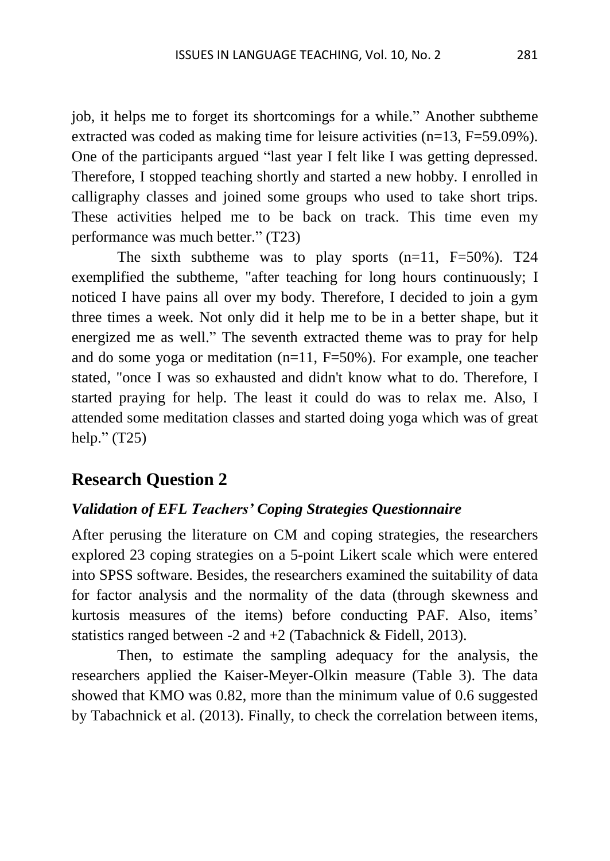job, it helps me to forget its shortcomings for a while." Another subtheme extracted was coded as making time for leisure activities (n=13, F=59.09%). One of the participants argued "last year I felt like I was getting depressed. Therefore, I stopped teaching shortly and started a new hobby. I enrolled in calligraphy classes and joined some groups who used to take short trips. These activities helped me to be back on track. This time even my performance was much better." (T23)

The sixth subtheme was to play sports  $(n=11, F=50\%)$ . T24 exemplified the subtheme, "after teaching for long hours continuously; I noticed I have pains all over my body. Therefore, I decided to join a gym three times a week. Not only did it help me to be in a better shape, but it energized me as well." The seventh extracted theme was to pray for help and do some yoga or meditation  $(n=11, F=50\%)$ . For example, one teacher stated, "once I was so exhausted and didn't know what to do. Therefore, I started praying for help. The least it could do was to relax me. Also, I attended some meditation classes and started doing yoga which was of great help." (T25)

#### **Research Question 2**

#### *Validation of EFL Teachers' Coping Strategies Questionnaire*

After perusing the literature on CM and coping strategies, the researchers explored 23 coping strategies on a 5-point Likert scale which were entered into SPSS software. Besides, the researchers examined the suitability of data for factor analysis and the normality of the data (through skewness and kurtosis measures of the items) before conducting PAF. Also, items' statistics ranged between -2 and +2 (Tabachnick & Fidell, 2013).

Then, to estimate the sampling adequacy for the analysis, the researchers applied the Kaiser-Meyer-Olkin measure (Table 3). The data showed that KMO was 0.82, more than the minimum value of 0.6 suggested by Tabachnick et al. (2013). Finally, to check the correlation between items,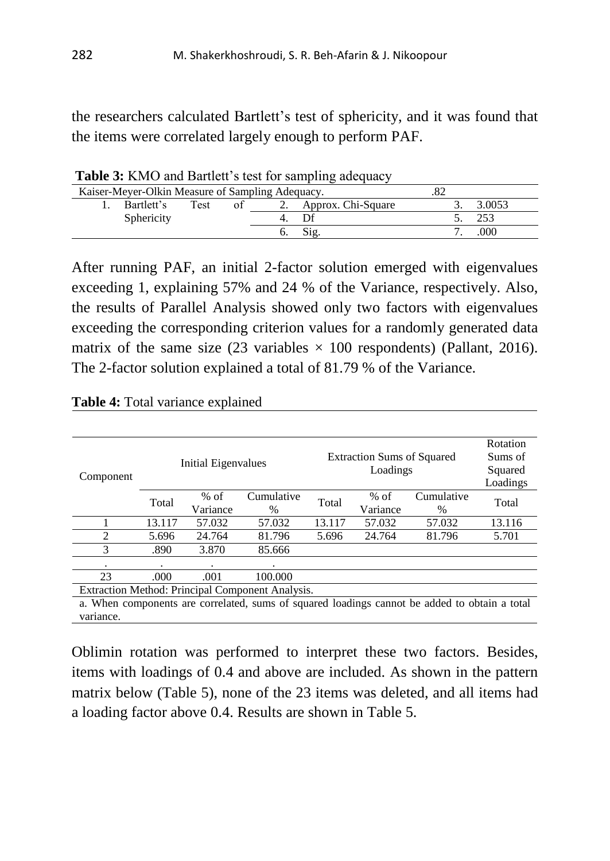the researchers calculated Bartlett's test of sphericity, and it was found that the items were correlated largely enough to perform PAF.

| <b>TWOTE OF TERROR DURITION</b> 5 ROL TOT SMILDING, MAVGUMO, |      |    |  |                    |                                                  |        |  |  |  |
|--------------------------------------------------------------|------|----|--|--------------------|--------------------------------------------------|--------|--|--|--|
|                                                              |      |    |  |                    |                                                  |        |  |  |  |
| Bartlett's                                                   | Test | ΩŤ |  | Approx. Chi-Square |                                                  | 3.0053 |  |  |  |
| Sphericity                                                   |      |    |  |                    |                                                  |        |  |  |  |
|                                                              |      |    |  |                    |                                                  | .000   |  |  |  |
|                                                              |      |    |  |                    | Kaiser-Meyer-Olkin Measure of Sampling Adequacy. |        |  |  |  |

Table 3: KMO and Bartlett's test for sampling adequacy

After running PAF, an initial 2-factor solution emerged with eigenvalues exceeding 1, explaining 57% and 24 % of the Variance, respectively. Also, the results of Parallel Analysis showed only two factors with eigenvalues exceeding the corresponding criterion values for a randomly generated data matrix of the same size (23 variables  $\times$  100 respondents) (Pallant, 2016). The 2-factor solution explained a total of 81.79 % of the Variance.

| Component                                                                                     |         | Initial Eigenvalues |            |        | <b>Extraction Sums of Squared</b><br>Loadings |               | Rotation<br>Sums of<br>Squared |
|-----------------------------------------------------------------------------------------------|---------|---------------------|------------|--------|-----------------------------------------------|---------------|--------------------------------|
|                                                                                               |         |                     |            |        |                                               | Loadings      |                                |
|                                                                                               | Total   | $%$ of              | Cumulative | Total  | $%$ of                                        | Cumulative    | Total                          |
|                                                                                               |         | Variance            | $\%$       |        | Variance                                      | $\frac{0}{0}$ |                                |
|                                                                                               | 13.117  | 57.032              | 57.032     | 13.117 | 57.032                                        | 57.032        | 13.116                         |
| 2                                                                                             | 5.696   | 24.764              | 81.796     | 5.696  | 24.764                                        | 81.796        | 5.701                          |
| 3                                                                                             | .890    | 3.870               | 85.666     |        |                                               |               |                                |
| ٠                                                                                             | $\cdot$ | ٠                   | ٠          |        |                                               |               |                                |
| 23                                                                                            | .000    | .001                | 100,000    |        |                                               |               |                                |
| Extraction Method: Principal Component Analysis.                                              |         |                     |            |        |                                               |               |                                |
| a. When components are correlated, sums of squared loadings cannot be added to obtain a total |         |                     |            |        |                                               |               |                                |
| variance.                                                                                     |         |                     |            |        |                                               |               |                                |

**Table 4:** Total variance explained

Oblimin rotation was performed to interpret these two factors. Besides, items with loadings of 0.4 and above are included. As shown in the pattern matrix below (Table 5), none of the 23 items was deleted, and all items had a loading factor above 0.4. Results are shown in Table 5.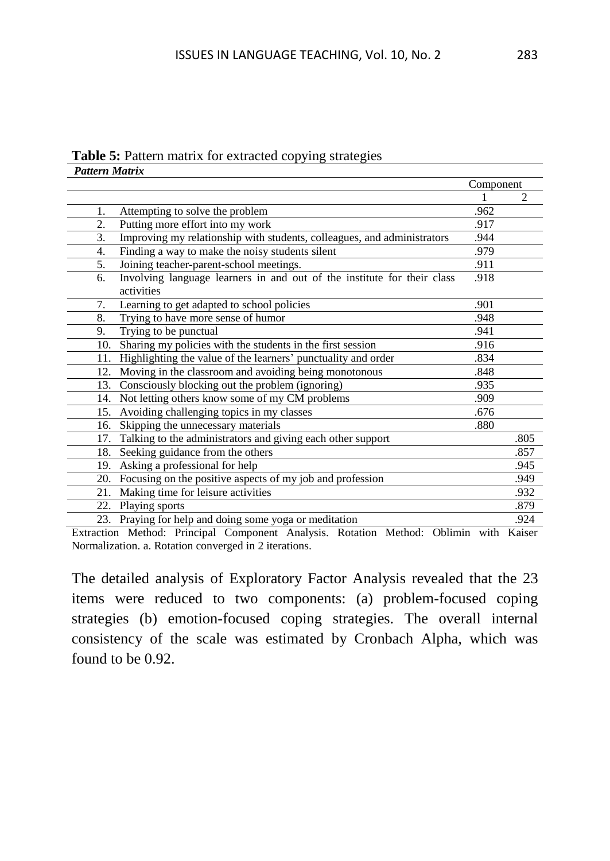#### **Table 5:** Pattern matrix for extracted copying strategies *Pattern Matrix*

|     |                                                                                       | Component |      |
|-----|---------------------------------------------------------------------------------------|-----------|------|
|     |                                                                                       |           |      |
| 1.  | Attempting to solve the problem                                                       | .962      |      |
| 2.  | Putting more effort into my work                                                      | .917      |      |
| 3.  | Improving my relationship with students, colleagues, and administrators               | .944      |      |
| 4.  | Finding a way to make the noisy students silent                                       | .979      |      |
| 5.  | Joining teacher-parent-school meetings.                                               | .911      |      |
| 6.  | Involving language learners in and out of the institute for their class<br>activities | .918      |      |
| 7.  | Learning to get adapted to school policies                                            | .901      |      |
| 8.  | Trying to have more sense of humor                                                    | .948      |      |
| 9.  | Trying to be punctual                                                                 | .941      |      |
| 10. | Sharing my policies with the students in the first session                            | .916      |      |
| 11. | Highlighting the value of the learners' punctuality and order                         | .834      |      |
| 12. | Moving in the classroom and avoiding being monotonous                                 | .848      |      |
| 13. | Consciously blocking out the problem (ignoring)                                       | .935      |      |
| 14. | Not letting others know some of my CM problems                                        | .909      |      |
| 15. | Avoiding challenging topics in my classes                                             | .676      |      |
| 16. | Skipping the unnecessary materials                                                    | .880      |      |
| 17. | Talking to the administrators and giving each other support                           |           | .805 |
| 18. | Seeking guidance from the others                                                      |           | .857 |
|     | 19. Asking a professional for help                                                    |           | .945 |
| 20. | Focusing on the positive aspects of my job and profession                             |           | .949 |
| 21. | Making time for leisure activities                                                    |           | .932 |
|     | 22. Playing sports                                                                    |           | .879 |
|     | 23. Praying for help and doing some yoga or meditation                                |           | .924 |

Extraction Method: Principal Component Analysis. Rotation Method: Oblimin with Kaiser Normalization. a. Rotation converged in 2 iterations.

The detailed analysis of Exploratory Factor Analysis revealed that the 23 items were reduced to two components: (a) problem-focused coping strategies (b) emotion-focused coping strategies. The overall internal consistency of the scale was estimated by Cronbach Alpha, which was found to be 0.92.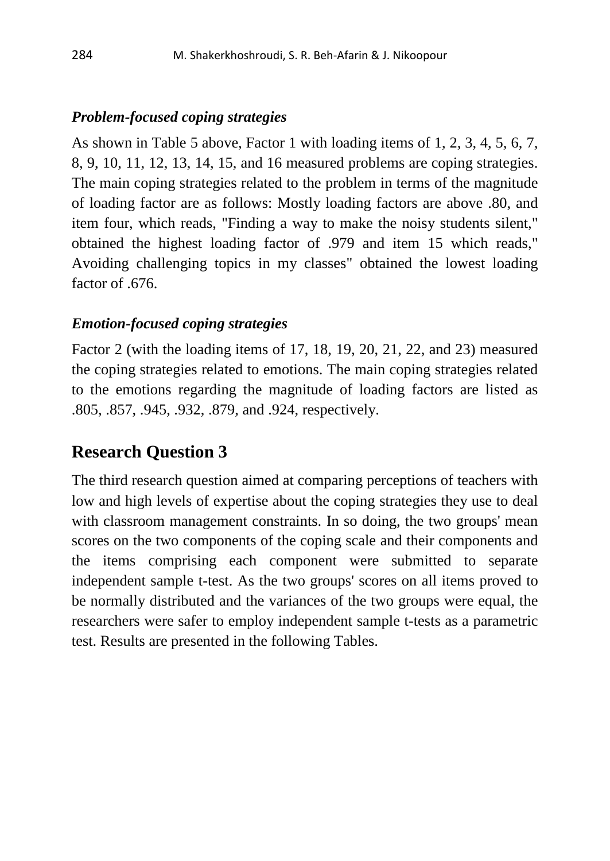#### *Problem-focused coping strategies*

As shown in Table 5 above, Factor 1 with loading items of 1, 2, 3, 4, 5, 6, 7, 8, 9, 10, 11, 12, 13, 14, 15, and 16 measured problems are coping strategies. The main coping strategies related to the problem in terms of the magnitude of loading factor are as follows: Mostly loading factors are above .80, and item four, which reads, "Finding a way to make the noisy students silent," obtained the highest loading factor of .979 and item 15 which reads," Avoiding challenging topics in my classes" obtained the lowest loading factor of .676.

#### *Emotion-focused coping strategies*

Factor 2 (with the loading items of 17, 18, 19, 20, 21, 22, and 23) measured the coping strategies related to emotions. The main coping strategies related to the emotions regarding the magnitude of loading factors are listed as .805, .857, .945, .932, .879, and .924, respectively.

### **Research Question 3**

The third research question aimed at comparing perceptions of teachers with low and high levels of expertise about the coping strategies they use to deal with classroom management constraints. In so doing, the two groups' mean scores on the two components of the coping scale and their components and the items comprising each component were submitted to separate independent sample t-test. As the two groups' scores on all items proved to be normally distributed and the variances of the two groups were equal, the researchers were safer to employ independent sample t-tests as a parametric test. Results are presented in the following Tables.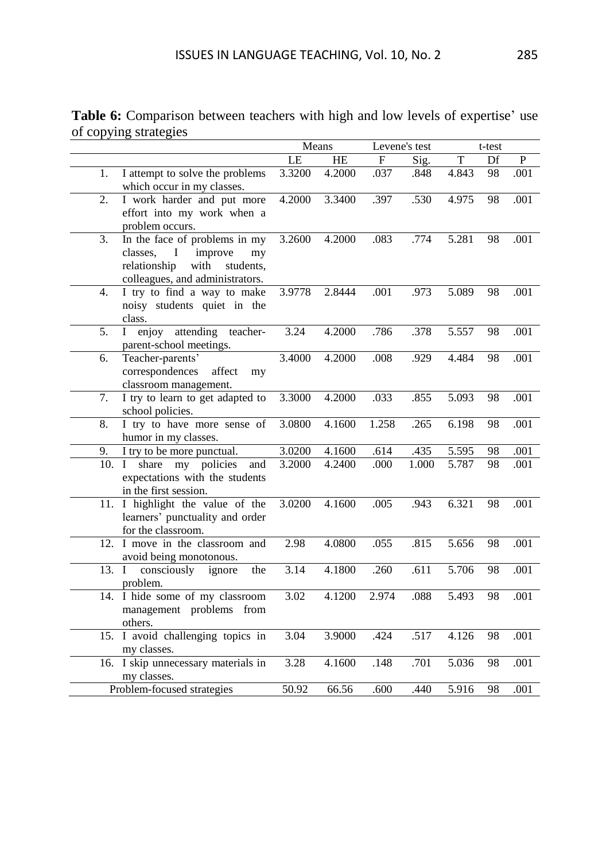|       | $  -$                                                                                                                                | Means  |        |              | Levene's test |       | t-test |                |
|-------|--------------------------------------------------------------------------------------------------------------------------------------|--------|--------|--------------|---------------|-------|--------|----------------|
|       |                                                                                                                                      | LE     | HE     | $\mathbf{F}$ | Sig.          | T     | Df     | $\overline{P}$ |
| 1.    | I attempt to solve the problems<br>which occur in my classes.                                                                        | 3.3200 | 4.2000 | .037         | .848          | 4.843 | 98     | .001           |
| 2.    | I work harder and put more<br>effort into my work when a<br>problem occurs.                                                          | 4.2000 | 3.3400 | .397         | .530          | 4.975 | 98     | .001           |
| 3.    | In the face of problems in my<br>classes, I<br>improve<br>my<br>with<br>relationship<br>students.<br>colleagues, and administrators. | 3.2600 | 4.2000 | .083         | .774          | 5.281 | 98     | .001           |
| 4.    | I try to find a way to make<br>noisy students quiet in the<br>class.                                                                 | 3.9778 | 2.8444 | .001         | .973          | 5.089 | 98     | .001           |
| 5.    | enjoy attending<br>$\mathbf I$<br>teacher-<br>parent-school meetings.                                                                | 3.24   | 4.2000 | .786         | .378          | 5.557 | 98     | .001           |
| 6.    | Teacher-parents'<br>correspondences<br>affect<br>my<br>classroom management.                                                         | 3.4000 | 4.2000 | .008         | .929          | 4.484 | 98     | .001           |
| 7.    | I try to learn to get adapted to<br>school policies.                                                                                 | 3.3000 | 4.2000 | .033         | .855          | 5.093 | 98     | .001           |
| 8.    | I try to have more sense of<br>humor in my classes.                                                                                  | 3.0800 | 4.1600 | 1.258        | .265          | 6.198 | 98     | .001           |
| 9.    | I try to be more punctual.                                                                                                           | 3.0200 | 4.1600 | .614         | .435          | 5.595 | 98     | .001           |
| 10. I | my policies<br>share<br>and<br>expectations with the students<br>in the first session.                                               | 3.2000 | 4.2400 | .000         | 1.000         | 5.787 | 98     | .001           |
|       | 11. I highlight the value of the<br>learners' punctuality and order<br>for the classroom.                                            | 3.0200 | 4.1600 | .005         | .943          | 6.321 | 98     | .001           |
|       | 12. I move in the classroom and<br>avoid being monotonous.                                                                           | 2.98   | 4.0800 | .055         | .815          | 5.656 | 98     | .001           |
| 13. I | consciously<br>ignore<br>the<br>problem.                                                                                             | 3.14   | 4.1800 | .260         | .611          | 5.706 | 98     | .001           |
|       | 14. I hide some of my classroom<br>management problems from<br>others.                                                               | 3.02   | 4.1200 | 2.974        | .088          | 5.493 | 98     | .001           |
|       | 15. I avoid challenging topics in<br>my classes.                                                                                     | 3.04   | 3.9000 | .424         | .517          | 4.126 | 98     | .001           |
|       | 16. I skip unnecessary materials in<br>my classes.                                                                                   | 3.28   | 4.1600 | .148         | .701          | 5.036 | 98     | .001           |
|       | Problem-focused strategies                                                                                                           | 50.92  | 66.56  | .600         | .440          | 5.916 | 98     | .001           |

**Table 6:** Comparison between teachers with high and low levels of expertise' use of copying strategies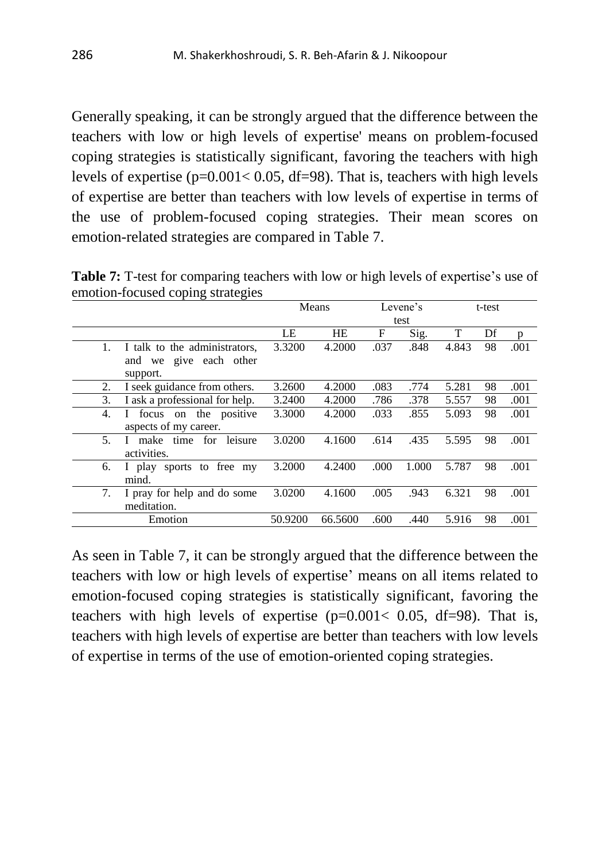Generally speaking, it can be strongly argued that the difference between the teachers with low or high levels of expertise' means on problem-focused coping strategies is statistically significant, favoring the teachers with high levels of expertise  $(p=0.001 < 0.05, df=98)$ . That is, teachers with high levels of expertise are better than teachers with low levels of expertise in terms of the use of problem-focused coping strategies. Their mean scores on emotion-related strategies are compared in Table 7.

Means Levene's test t-test LE HE F Sig. T Df p 1. I talk to the administrators, and we give each other support. 3.3200 4.2000 .037 .848 4.843 98 .001 2. I seek guidance from others. 3.2600 4.2000 .083 .774 5.281 98 .001 3. I ask a professional for help. 3.2400 4.2000 .786 .378 5.557 98 .001 4. I focus on the positive aspects of my career. 3.3000 4.2000 .033 .855 5.093 98 .001 5. I make time for leisure activities. 3.0200 4.1600 .614 .435 5.595 98 .001 6. I play sports to free my mind. 3.2000 4.2400 .000 1.000 5.787 98 .001

3.0200 4.1600 .005 .943 6.321 98 .001

7. I pray for help and do some

meditation.

**Table 7:** T-test for comparing teachers with low or high levels of expertise's use of emotion-focused coping strategies

As seen in Table 7, it can be strongly argued that the difference between the teachers with low or high levels of expertise' means on all items related to emotion-focused coping strategies is statistically significant, favoring the teachers with high levels of expertise  $(p=0.001 < 0.05, df=98)$ . That is, teachers with high levels of expertise are better than teachers with low levels of expertise in terms of the use of emotion-oriented coping strategies.

Emotion 50.9200 66.5600 .600 .440 5.916 98 .001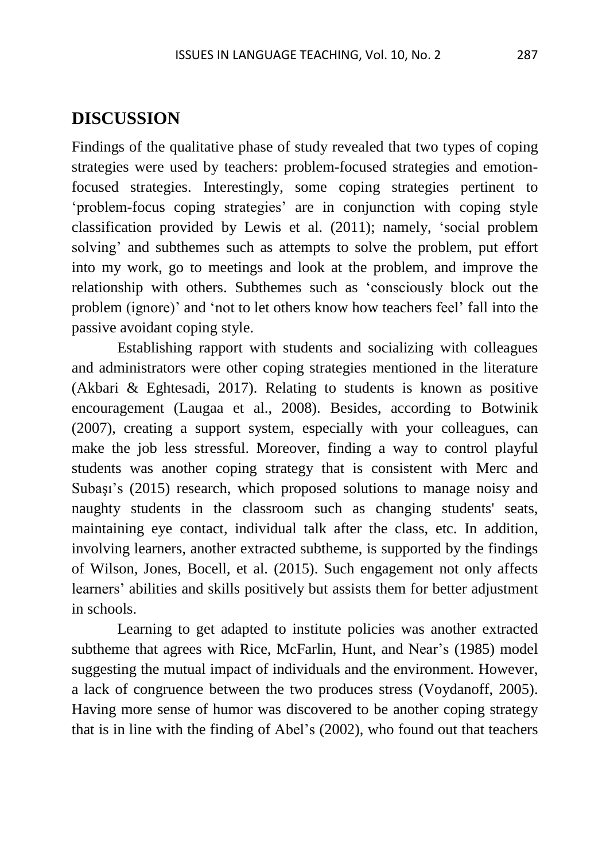#### **DISCUSSION**

Findings of the qualitative phase of study revealed that two types of coping strategies were used by teachers: problem-focused strategies and emotionfocused strategies. Interestingly, some coping strategies pertinent to 'problem-focus coping strategies' are in conjunction with coping style classification provided by Lewis et al. (2011); namely, 'social problem solving' and subthemes such as attempts to solve the problem, put effort into my work, go to meetings and look at the problem, and improve the relationship with others. Subthemes such as 'consciously block out the problem (ignore)' and 'not to let others know how teachers feel' fall into the passive avoidant coping style.

Establishing rapport with students and socializing with colleagues and administrators were other coping strategies mentioned in the literature (Akbari & Eghtesadi, 2017). Relating to students is known as positive encouragement (Laugaa et al., 2008). Besides, according to Botwinik (2007), creating a support system, especially with your colleagues, can make the job less stressful. Moreover, finding a way to control playful students was another coping strategy that is consistent with Merc and Subaşı's (2015) research, which proposed solutions to manage noisy and naughty students in the classroom such as changing students' seats, maintaining eye contact, individual talk after the class, etc. In addition, involving learners, another extracted subtheme, is supported by the findings of Wilson, Jones, Bocell, et al. (2015). Such engagement not only affects learners' abilities and skills positively but assists them for better adjustment in schools.

Learning to get adapted to institute policies was another extracted subtheme that agrees with Rice, McFarlin, Hunt, and Near's (1985) model suggesting the mutual impact of individuals and the environment. However, a lack of congruence between the two produces stress (Voydanoff, 2005). Having more sense of humor was discovered to be another coping strategy that is in line with the finding of Abel's (2002), who found out that teachers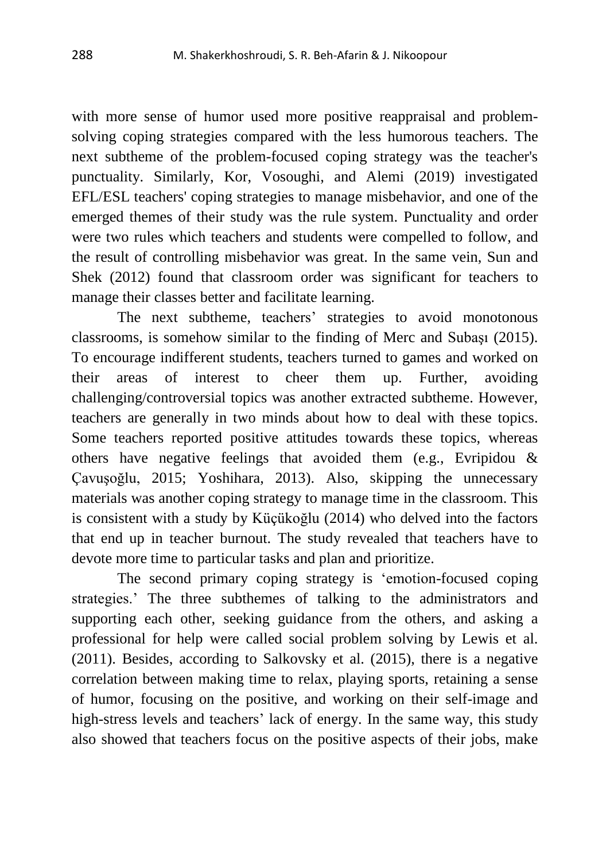with more sense of humor used more positive reappraisal and problemsolving coping strategies compared with the less humorous teachers. The next subtheme of the problem-focused coping strategy was the teacher's punctuality. Similarly, Kor, Vosoughi, and Alemi (2019) investigated EFL/ESL teachers' coping strategies to manage misbehavior, and one of the emerged themes of their study was the rule system. Punctuality and order were two rules which teachers and students were compelled to follow, and the result of controlling misbehavior was great. In the same vein, Sun and Shek (2012) found that classroom order was significant for teachers to manage their classes better and facilitate learning.

The next subtheme, teachers' strategies to avoid monotonous classrooms, is somehow similar to the finding of Merc and Subaşı (2015). To encourage indifferent students, teachers turned to games and worked on their areas of interest to cheer them up. Further, avoiding challenging/controversial topics was another extracted subtheme. However, teachers are generally in two minds about how to deal with these topics. Some teachers reported positive attitudes towards these topics, whereas others have negative feelings that avoided them (e.g., Evripidou & Çavuşoğlu, 2015; Yoshihara, 2013). Also, skipping the unnecessary materials was another coping strategy to manage time in the classroom. This is consistent with a study by Küçükoğlu (2014) who delved into the factors that end up in teacher burnout. The study revealed that teachers have to devote more time to particular tasks and plan and prioritize.

The second primary coping strategy is 'emotion-focused coping strategies.' The three subthemes of talking to the administrators and supporting each other, seeking guidance from the others, and asking a professional for help were called social problem solving by Lewis et al. (2011). Besides, according to Salkovsky et al. (2015), there is a negative correlation between making time to relax, playing sports, retaining a sense of humor, focusing on the positive, and working on their self-image and high-stress levels and teachers' lack of energy. In the same way, this study also showed that teachers focus on the positive aspects of their jobs, make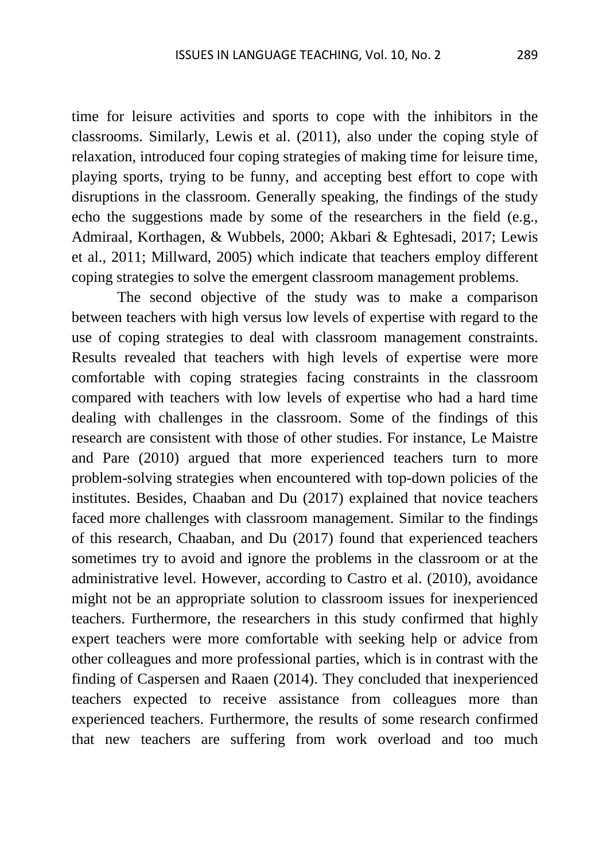time for leisure activities and sports to cope with the inhibitors in the classrooms. Similarly, Lewis et al. (2011), also under the coping style of relaxation, introduced four coping strategies of making time for leisure time, playing sports, trying to be funny, and accepting best effort to cope with disruptions in the classroom. Generally speaking, the findings of the study echo the suggestions made by some of the researchers in the field (e.g., Admiraal, Korthagen, & Wubbels, 2000; Akbari & Eghtesadi, 2017; Lewis et al., 2011; Millward, 2005) which indicate that teachers employ different coping strategies to solve the emergent classroom management problems.

The second objective of the study was to make a comparison between teachers with high versus low levels of expertise with regard to the use of coping strategies to deal with classroom management constraints. Results revealed that teachers with high levels of expertise were more comfortable with coping strategies facing constraints in the classroom compared with teachers with low levels of expertise who had a hard time dealing with challenges in the classroom. Some of the findings of this research are consistent with those of other studies. For instance, Le Maistre and Pare (2010) argued that more experienced teachers turn to more problem-solving strategies when encountered with top-down policies of the institutes. Besides, Chaaban and Du (2017) explained that novice teachers faced more challenges with classroom management. Similar to the findings of this research, Chaaban, and Du (2017) found that experienced teachers sometimes try to avoid and ignore the problems in the classroom or at the administrative level. However, according to Castro et al. (2010), avoidance might not be an appropriate solution to classroom issues for inexperienced teachers. Furthermore, the researchers in this study confirmed that highly expert teachers were more comfortable with seeking help or advice from other colleagues and more professional parties, which is in contrast with the finding of Caspersen and Raaen (2014). They concluded that inexperienced teachers expected to receive assistance from colleagues more than experienced teachers. Furthermore, the results of some research confirmed that new teachers are suffering from work overload and too much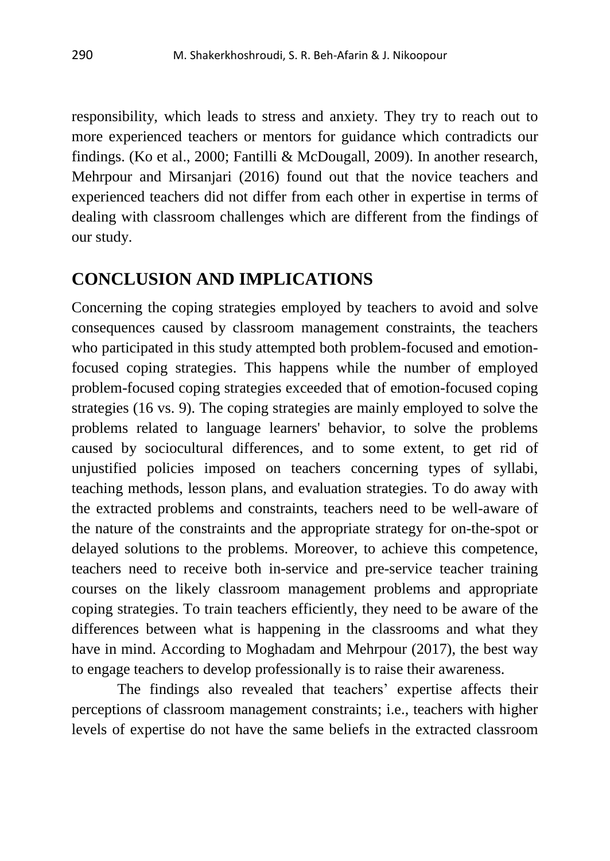responsibility, which leads to stress and anxiety. They try to reach out to more experienced teachers or mentors for guidance which contradicts our findings. (Ko et al., 2000; Fantilli & McDougall, 2009). In another research, Mehrpour and Mirsanjari (2016) found out that the novice teachers and experienced teachers did not differ from each other in expertise in terms of dealing with classroom challenges which are different from the findings of our study.

#### **CONCLUSION AND IMPLICATIONS**

Concerning the coping strategies employed by teachers to avoid and solve consequences caused by classroom management constraints, the teachers who participated in this study attempted both problem-focused and emotionfocused coping strategies. This happens while the number of employed problem-focused coping strategies exceeded that of emotion-focused coping strategies (16 vs. 9). The coping strategies are mainly employed to solve the problems related to language learners' behavior, to solve the problems caused by sociocultural differences, and to some extent, to get rid of unjustified policies imposed on teachers concerning types of syllabi, teaching methods, lesson plans, and evaluation strategies. To do away with the extracted problems and constraints, teachers need to be well-aware of the nature of the constraints and the appropriate strategy for on-the-spot or delayed solutions to the problems. Moreover, to achieve this competence, teachers need to receive both in-service and pre-service teacher training courses on the likely classroom management problems and appropriate coping strategies. To train teachers efficiently, they need to be aware of the differences between what is happening in the classrooms and what they have in mind. According to Moghadam and Mehrpour (2017), the best way to engage teachers to develop professionally is to raise their awareness.

The findings also revealed that teachers' expertise affects their perceptions of classroom management constraints; i.e., teachers with higher levels of expertise do not have the same beliefs in the extracted classroom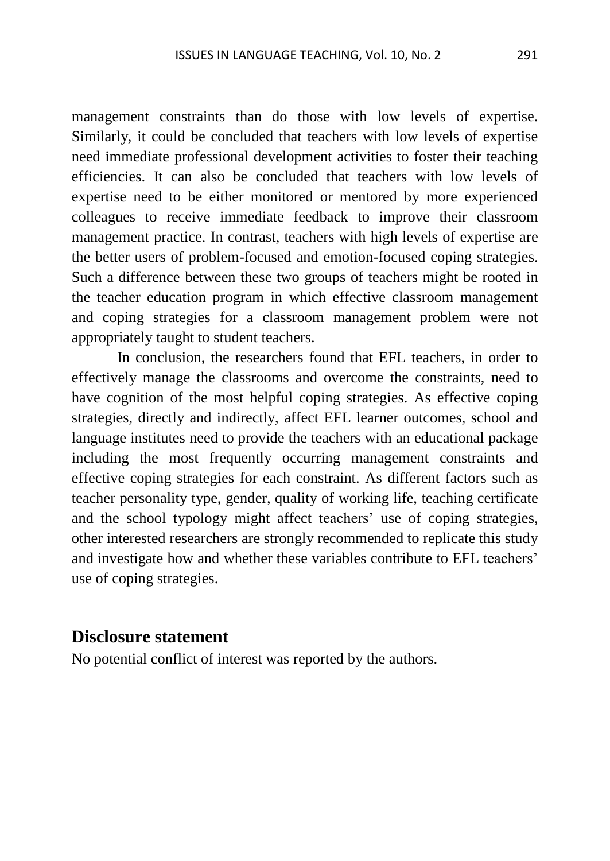management constraints than do those with low levels of expertise. Similarly, it could be concluded that teachers with low levels of expertise need immediate professional development activities to foster their teaching efficiencies. It can also be concluded that teachers with low levels of expertise need to be either monitored or mentored by more experienced colleagues to receive immediate feedback to improve their classroom management practice. In contrast, teachers with high levels of expertise are the better users of problem-focused and emotion-focused coping strategies. Such a difference between these two groups of teachers might be rooted in the teacher education program in which effective classroom management and coping strategies for a classroom management problem were not appropriately taught to student teachers.

In conclusion, the researchers found that EFL teachers, in order to effectively manage the classrooms and overcome the constraints, need to have cognition of the most helpful coping strategies. As effective coping strategies, directly and indirectly, affect EFL learner outcomes, school and language institutes need to provide the teachers with an educational package including the most frequently occurring management constraints and effective coping strategies for each constraint. As different factors such as teacher personality type, gender, quality of working life, teaching certificate and the school typology might affect teachers' use of coping strategies, other interested researchers are strongly recommended to replicate this study and investigate how and whether these variables contribute to EFL teachers' use of coping strategies.

#### **Disclosure statement**

No potential conflict of interest was reported by the authors.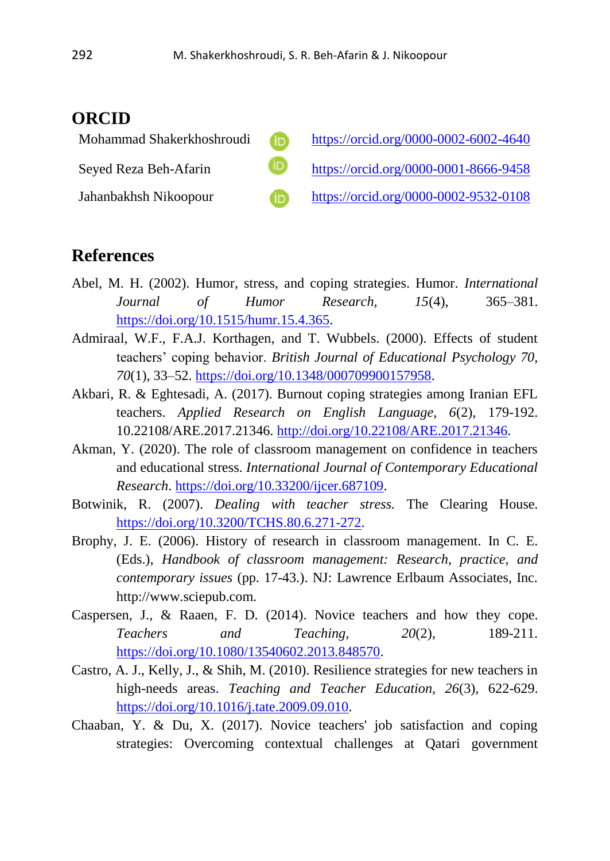#### **ORCID**

| Mohammad Shakerkhoshroudi | <b>iD</b> | https://orcid.org/0000-0002-6002-4640 |
|---------------------------|-----------|---------------------------------------|
| Seyed Reza Beh-Afarin     |           | https://orcid.org/0000-0001-8666-9458 |
| Jahanbakhsh Nikoopour     | <b>ID</b> | https://orcid.org/0000-0002-9532-0108 |

#### **References**

- Abel, M. H. (2002). Humor, stress, and coping strategies. Humor. *International Journal of Humor Research, 15*(4), 365–381. [https://doi.org/10.1515/humr.15.4.365.](https://doi.org/10.1515/humr.15.4.365)
- Admiraal, W.F., F.A.J. Korthagen, and T. Wubbels. (2000). Effects of student teachers' coping behavior. *British Journal of Educational Psychology 70, 70*(1), 33–52. [https://doi.org/10.1348/000709900157958.](https://doi.org/10.1348/000709900157958)
- Akbari, R. & Eghtesadi, A. (2017). Burnout coping strategies among Iranian EFL teachers. *Applied Research on English Language, 6*(2), 179-192. 10.22108/ARE.2017.21346. [http://doi.org/10.22108/ARE.2017.21346.](http://doi.org/10.22108/ARE.2017.21346)
- Akman, Y. (2020). The role of classroom management on confidence in teachers and educational stress. *International Journal of Contemporary Educational Research*. [https://doi.org/10.33200/ijcer.687109.](https://doi.org/10.33200/ijcer.687109)
- Botwinik, R. (2007). *Dealing with teacher stress.* The Clearing House. [https://doi.org/10.3200/TCHS.80.6.271-272.](https://doi.org/10.3200/TCHS.80.6.271-272)
- Brophy, J. E. (2006). History of research in classroom management. In C. E. (Eds.), *Handbook of classroom management: Research, practice, and contemporary issues* (pp. 17-43.). NJ: Lawrence Erlbaum Associates, Inc. http://www.sciepub.com.
- Caspersen, J., & Raaen, F. D. (2014). Novice teachers and how they cope. *Teachers and Teaching, 20*(2), 189-211. [https://doi.org/10.1080/13540602.2013.848570.](https://doi.org/10.1080/13540602.2013.848570)
- Castro, A. J., Kelly, J., & Shih, M. (2010). Resilience strategies for new teachers in high-needs areas. *Teaching and Teacher Education, 26*(3), 622-629. [https://doi.org/10.1016/j.tate.2009.09.010.](https://doi.org/10.1016/j.tate.2009.09.010)
- Chaaban, Y. & Du, X. (2017). Novice teachers' job satisfaction and coping strategies: Overcoming contextual challenges at Qatari government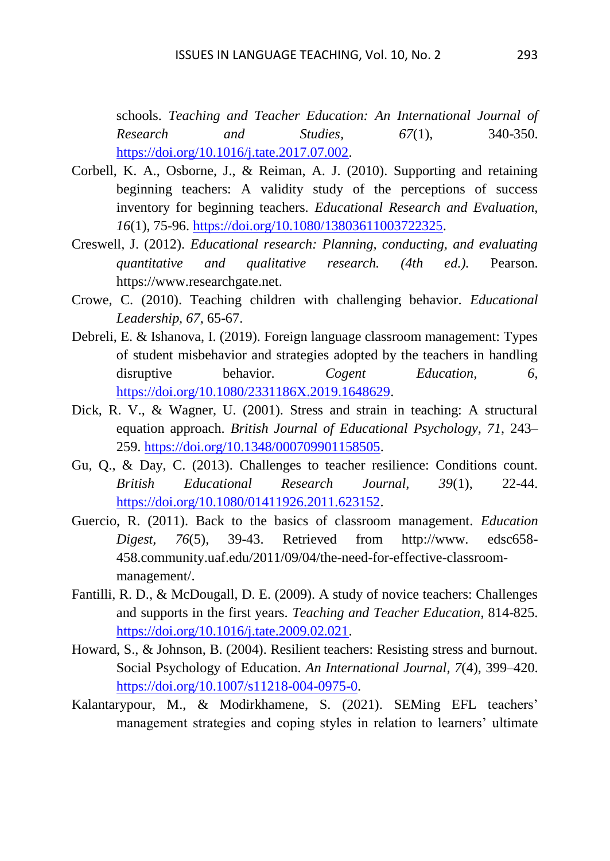schools. *Teaching and Teacher Education: An International Journal of Research and Studies, 67*(1), 340-350. [https://doi.org/10.1016/j.tate.2017.07.002.](https://doi.org/10.1016/j.tate.2017.07.002)

- Corbell, K. A., Osborne, J., & Reiman, A. J. (2010). Supporting and retaining beginning teachers: A validity study of the perceptions of success inventory for beginning teachers. *Educational Research and Evaluation, 16*(1), 75-96. [https://doi.org/10.1080/13803611003722325.](https://doi.org/10.1080/13803611003722325)
- Creswell, J. (2012). *Educational research: Planning, conducting, and evaluating quantitative and qualitative research. (4th ed.).* Pearson. https://www.researchgate.net.
- Crowe, C. (2010). Teaching children with challenging behavior. *Educational Leadership, 67*, 65-67.
- Debreli, E. & Ishanova, I. (2019). Foreign language classroom management: Types of student misbehavior and strategies adopted by the teachers in handling disruptive behavior. *Cogent Education*, 6, [https://doi.org/10.1080/2331186X.2019.1648629.](https://doi.org/10.1080/2331186X.2019.1648629)
- Dick, R. V., & Wagner, U. (2001). Stress and strain in teaching: A structural equation approach. *British Journal of Educational Psychology, 71*, 243– 259. [https://doi.org/10.1348/000709901158505.](https://doi.org/10.1348/000709901158505)
- Gu, Q., & Day, C. (2013). Challenges to teacher resilience: Conditions count. *British Educational Research Journal, 39*(1), 22-44. [https://doi.org/10.1080/01411926.2011.623152.](https://doi.org/10.1080/01411926.2011.623152)
- Guercio, R. (2011). Back to the basics of classroom management. *Education Digest, 76*(5), 39-43. Retrieved from http://www. edsc658- 458.community.uaf.edu/2011/09/04/the-need-for-effective-classroommanagement/.
- Fantilli, R. D., & McDougall, D. E. (2009). A study of novice teachers: Challenges and supports in the first years. *Teaching and Teacher Education*, 814-825. [https://doi.org/10.1016/j.tate.2009.02.021.](https://doi.org/10.1016/j.tate.2009.02.021)
- Howard, S., & Johnson, B. (2004). Resilient teachers: Resisting stress and burnout. Social Psychology of Education. *An International Journal, 7*(4), 399–420. [https://doi.org/10.1007/s11218-004-0975-0.](https://doi.org/10.1007/s11218-004-0975-0)
- Kalantarypour, M., & Modirkhamene, S. (2021). SEMing EFL teachers' management strategies and coping styles in relation to learners' ultimate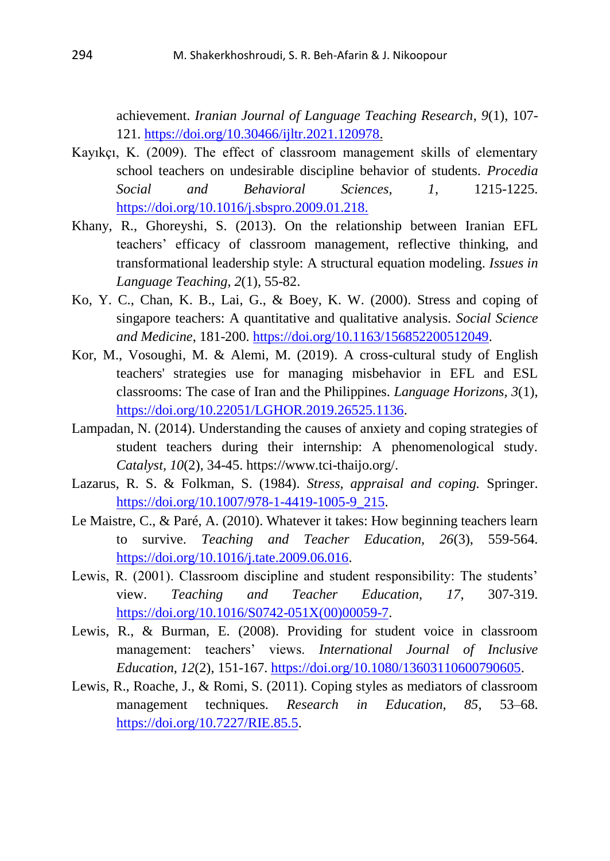achievement. *Iranian Journal of Language Teaching Research*, *9*(1), 107- 121. [https://doi.org/10.30466/ijltr.2021.120978.](https://doi.org/10.30466/ijltr.2021.120978)

- Kayıkçı, K. (2009). The effect of classroom management skills of elementary school teachers on undesirable discipline behavior of students. *Procedia Social and Behavioral Sciences, 1*, 1215-1225. <https://doi.org/10.1016/j.sbspro.2009.01.218.>
- Khany, R., Ghoreyshi, S. (2013). On the relationship between Iranian EFL teachers' efficacy of classroom management, reflective thinking, and transformational leadership style: A structural equation modeling. *Issues in Language Teaching*, *2*(1), 55-82.
- Ko, Y. C., Chan, K. B., Lai, G., & Boey, K. W. (2000). Stress and coping of singapore teachers: A quantitative and qualitative analysis. *Social Science and Medicine*, 181-200. [https://doi.org/10.1163/156852200512049.](https://doi.org/10.1163/156852200512049)
- Kor, M., Vosoughi, M. & Alemi, M. (2019). A cross-cultural study of English teachers' strategies use for managing misbehavior in EFL and ESL classrooms: The case of Iran and the Philippines. *Language Horizons, 3*(1), [https://doi.org/10.22051/LGHOR.2019.26525.1136.](https://doi.org/10.22051/LGHOR.2019.26525.1136)
- Lampadan, N. (2014). Understanding the causes of anxiety and coping strategies of student teachers during their internship: A phenomenological study. *Catalyst, 10*(2), 34-45. [https://www.tci-thaijo.org/.](https://www.tci-thaijo.org/)
- Lazarus, R. S. & Folkman, S. (1984). *Stress, appraisal and coping.* Springer. [https://doi.org/10.1007/978-1-4419-1005-9\\_215.](https://doi.org/10.1007/978-1-4419-1005-9_215)
- Le Maistre, C., & Paré, A. (2010). Whatever it takes: How beginning teachers learn to survive. *Teaching and Teacher Education, 26*(3), 559-564. [https://doi.org/10.1016/j.tate.2009.06.016.](https://doi.org/10.1016/j.tate.2009.06.016)
- Lewis, R. (2001). Classroom discipline and student responsibility: The students' view. *Teaching and Teacher Education, 17*, 307-319. [https://doi.org/10.1016/S0742-051X\(00\)00059-7.](https://doi.org/10.1016/S0742-051X(00)00059-7)
- Lewis, R., & Burman, E. (2008). Providing for student voice in classroom management: teachers' views. *International Journal of Inclusive Education, 12*(2), 151-167. [https://doi.org/10.1080/13603110600790605.](https://doi.org/10.1080/13603110600790605)
- Lewis, R., Roache, J., & Romi, S. (2011). Coping styles as mediators of classroom management techniques. *Research in Education, 85*, 53–68. [https://doi.org/10.7227/RIE.85.5.](https://doi.org/10.7227/RIE.85.5)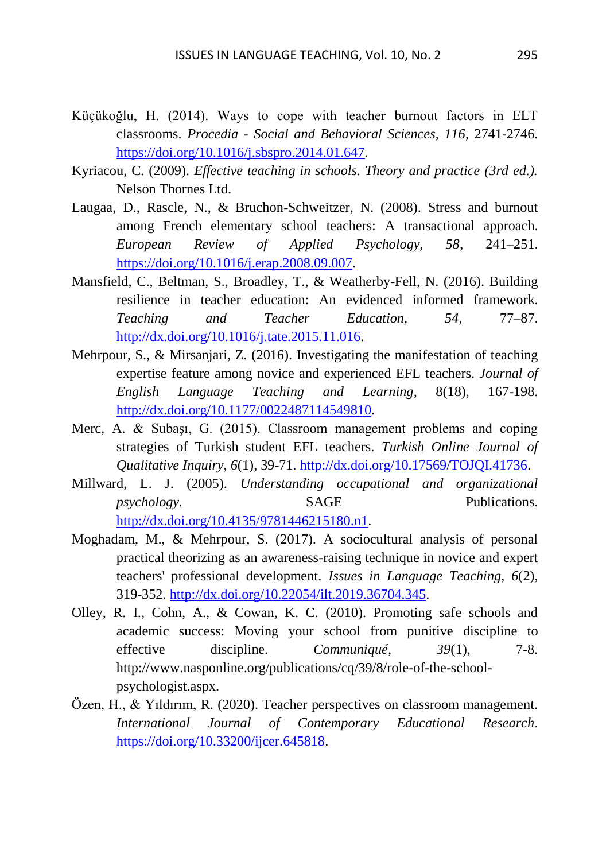- Küçükoğlu, H. (2014). Ways to cope with teacher burnout factors in ELT classrooms. *Procedia - Social and Behavioral Sciences, 116*, 2741-2746. [https://doi.org/10.1016/j.sbspro.2014.01.647.](https://doi.org/10.1016/j.sbspro.2014.01.647)
- Kyriacou, C. (2009). *Effective teaching in schools. Theory and practice (3rd ed.).* Nelson Thornes Ltd.
- Laugaa, D., Rascle, N., & Bruchon-Schweitzer, N. (2008). Stress and burnout among French elementary school teachers: A transactional approach. *European Review of Applied Psychology, 58*, 241–251. [https://doi.org/10.1016/j.erap.2008.09.007.](https://doi.org/10.1016/j.erap.2008.09.007)
- Mansfield, C., Beltman, S., Broadley, T., & Weatherby-Fell, N. (2016). Building resilience in teacher education: An evidenced informed framework. *Teaching and Teacher Education, 54*, 77–87. [http://dx.doi.org/10.1016/j.tate.2015.11.016.](http://dx.doi.org/10.1016/j.tate.2015.11.016)
- Mehrpour, S., & Mirsanjari, Z. (2016). Investigating the manifestation of teaching expertise feature among novice and experienced EFL teachers. *Journal of English Language Teaching and Learning*, 8(18), 167-198. [http://dx.doi.org/10.1177/0022487114549810.](http://dx.doi.org/10.1177/0022487114549810)
- Merc, A. & Subaşı, G. (2015). Classroom management problems and coping strategies of Turkish student EFL teachers. *Turkish Online Journal of Qualitative Inquiry, 6*(1), 39-71. [http://dx.doi.org/10.17569/TOJQI.41736.](http://dx.doi.org/10.17569/TOJQI.41736)
- Millward, L. J. (2005). *Understanding occupational and organizational psychology.* SAGE Publications. [http://dx.doi.org/10.4135/9781446215180.n1.](http://dx.doi.org/10.4135/9781446215180.n1)
- Moghadam, M., & Mehrpour, S. (2017). A sociocultural analysis of personal practical theorizing as an awareness-raising technique in novice and expert teachers' professional development. *Issues in Language Teaching, 6*(2), 319-352. [http://dx.doi.org/10.22054/ilt.2019.36704.345.](http://dx.doi.org/10.22054/ilt.2019.36704.345)
- Olley, R. I., Cohn, A., & Cowan, K. C. (2010). Promoting safe schools and academic success: Moving your school from punitive discipline to effective discipline. *Communiqué, 39*(1), 7-8. [http://www.nasponline.org/publications/cq/39/8/role-of-the-school](http://www.nasponline.org/publications/cq/39/8/role-of-the-school-)psychologist.aspx.
- Özen, H., & Yıldırım, R. (2020). Teacher perspectives on classroom management. *International Journal of Contemporary Educational Research*. [https://doi.org/10.33200/ijcer.645818.](https://doi.org/10.33200/ijcer.645818)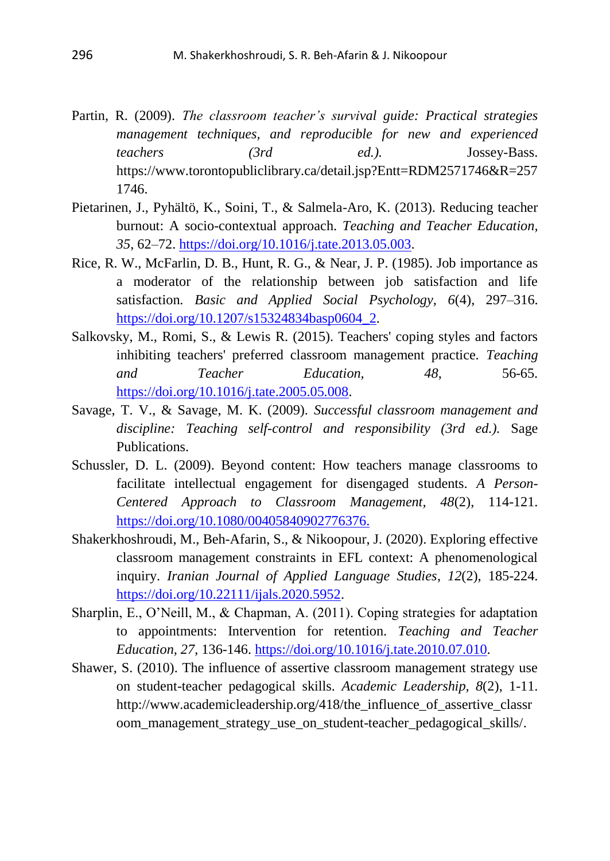- Partin, R. (2009). *The classroom teacher's survival guide: Practical strategies management techniques, and reproducible for new and experienced teachers (3rd ed.).* Jossey-Bass. https://www.torontopubliclibrary.ca/detail.jsp?Entt=RDM2571746&R=257 1746.
- Pietarinen, J., Pyhältö, K., Soini, T., & Salmela-Aro, K. (2013). Reducing teacher burnout: A socio-contextual approach. *Teaching and Teacher Education, 35*, 62–72. [https://doi.org/10.1016/j.tate.2013.05.003.](https://doi.org/10.1016/j.tate.2013.05.003)
- Rice, R. W., McFarlin, D. B., Hunt, R. G., & Near, J. P. (1985). Job importance as a moderator of the relationship between job satisfaction and life satisfaction. *Basic and Applied Social Psychology, 6*(4), 297–316. [https://doi.org/10.1207/s15324834basp0604\\_2.](https://doi.org/10.1207/s15324834basp0604_2)
- Salkovsky, M., Romi, S., & Lewis R. (2015). Teachers' coping styles and factors inhibiting teachers' preferred classroom management practice. *Teaching and Teacher Education, 48*, 56-65. [https://doi.org/10.1016/j.tate.2005.05.008.](https://doi.org/10.1016/j.tate.2005.05.008)
- Savage, T. V., & Savage, M. K. (2009). *Successful classroom management and discipline: Teaching self-control and responsibility (3rd ed.).* Sage Publications.
- Schussler, D. L. (2009). Beyond content: How teachers manage classrooms to facilitate intellectual engagement for disengaged students. *A Person-Centered Approach to Classroom Management, 48*(2), 114-121. <https://doi.org/10.1080/00405840902776376.>
- Shakerkhoshroudi, M., Beh-Afarin, S., & Nikoopour, J. (2020). Exploring effective classroom management constraints in EFL context: A phenomenological inquiry. *Iranian Journal of Applied Language Studies*, *12*(2), 185-224. [https://doi.org/10.22111/ijals.2020.5952.](https://doi.org/10.22111/ijals.2020.5952)
- Sharplin, E., O'Neill, M., & Chapman, A. (2011). Coping strategies for adaptation to appointments: Intervention for retention. *Teaching and Teacher Education, 27*, 136-146. [https://doi.org/10.1016/j.tate.2010.07.010.](https://doi.org/10.1016/j.tate.2010.07.010)
- Shawer, S. (2010). The influence of assertive classroom management strategy use on student-teacher pedagogical skills. *Academic Leadership, 8*(2), 1-11. [http://www.academicleadership.org/418/the\\_influence\\_of\\_assertive\\_classr](http://www.academicleadership.org/418/the_influence_of_assertive_classroom_management_strategy_use_on_student-teacher_pedagogical_skills/) [oom\\_management\\_strategy\\_use\\_on\\_student-teacher\\_pedagogical\\_skills/.](http://www.academicleadership.org/418/the_influence_of_assertive_classroom_management_strategy_use_on_student-teacher_pedagogical_skills/)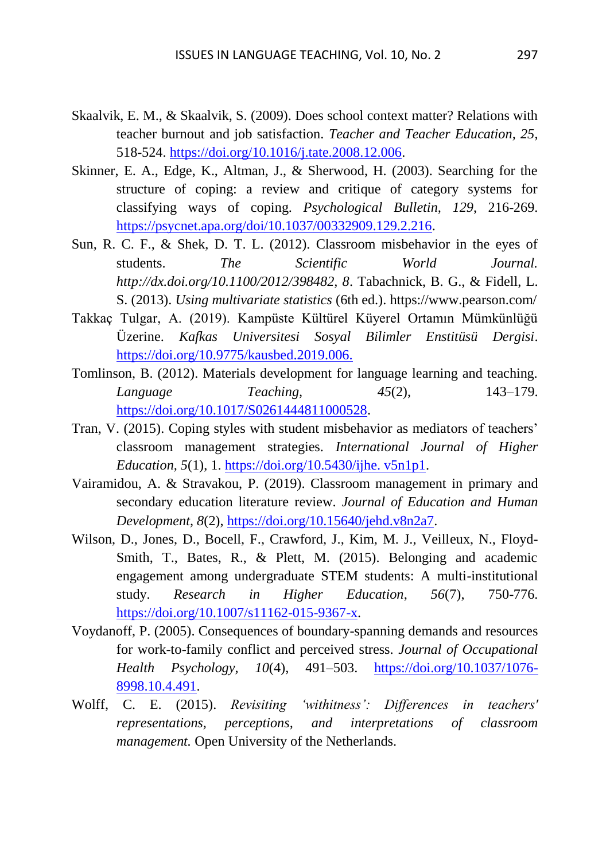- Skaalvik, E. M., & Skaalvik, S. (2009). Does school context matter? Relations with teacher burnout and job satisfaction. *Teacher and Teacher Education, 25*, 518-524. [https://doi.org/10.1016/j.tate.2008.12.006.](https://doi.org/10.1016/j.tate.2008.12.006)
- Skinner, E. A., Edge, K., Altman, J., & Sherwood, H. (2003). Searching for the structure of coping: a review and critique of category systems for classifying ways of coping. *Psychological Bulletin, 129*, 216-269. [https://psycnet.apa.org/doi/10.1037/00332909.129.2.216.](https://psycnet.apa.org/doi/10.1037/00332909.129.2.216)
- Sun, R. C. F., & Shek, D. T. L. (2012). Classroom misbehavior in the eyes of students. *The Scientific World Journal. http://dx.doi.org/10.1100/2012/398482, 8*. Tabachnick, B. G., & Fidell, L. S. (2013). *Using multivariate statistics* (6th ed.).<https://www.pearson.com/>
- Takkaç Tulgar, A. (2019). Kampüste Kültürel Küyerel Ortamın Mümkünlüğü Üzerine. *Kafkas Universitesi Sosyal Bilimler Enstitüsü Dergisi*. <https://doi.org/10.9775/kausbed.2019.006.>
- Tomlinson, B. (2012). Materials development for language learning and teaching. *Language Teaching,* 45(2), 143–179. [https://doi.org/10.1017/S0261444811000528.](https://doi.org/10.1017/S0261444811000528)
- Tran, V. (2015). Coping styles with student misbehavior as mediators of teachers' classroom management strategies. *International Journal of Higher Education, 5*(1), 1. [https://doi.org/10.5430/ijhe. v5n1p1.](https://doi.org/10.5430/ijhe.%20v5n1p1)
- Vairamidou, A. & Stravakou, P. (2019). Classroom management in primary and secondary education literature review. *Journal of Education and Human Development, 8*(2), [https://doi.org/10.15640/jehd.v8n2a7.](https://doi.org/10.15640/jehd.v8n2a7)
- Wilson, D., Jones, D., Bocell, F., Crawford, J., Kim, M. J., Veilleux, N., Floyd-Smith, T., Bates, R., & Plett, M. (2015). Belonging and academic engagement among undergraduate STEM students: A multi-institutional study. *Research in Higher Education*, *56*(7), 750-776. [https://doi.org/10.1007/s11162-015-9367-x.](https://doi.org/10.1007/s11162-015-9367-x)
- Voydanoff, P. (2005). Consequences of boundary-spanning demands and resources for work-to-family conflict and perceived stress. *Journal of Occupational Health Psychology, 10*(4), 491–503. [https://doi.org/10.1037/1076-](https://doi.org/10.1037/1076-8998.10.4.491) [8998.10.4.491.](https://doi.org/10.1037/1076-8998.10.4.491)
- Wolff, C. E. (2015). *Revisiting 'withitness': Differences in teachers' representations, perceptions, and interpretations of classroom management.* Open University of the Netherlands.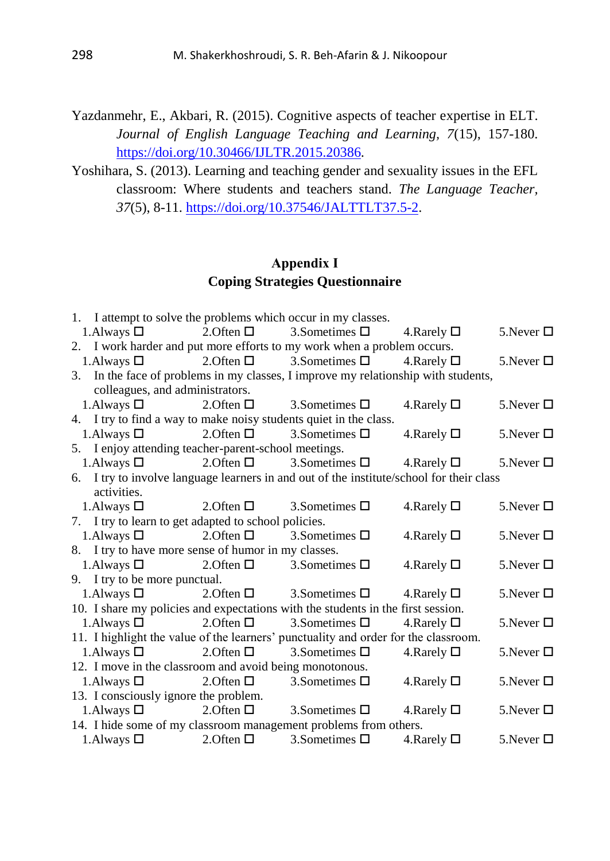- Yazdanmehr, E., Akbari, R. (2015). Cognitive aspects of teacher expertise in ELT. *Journal of English Language Teaching and Learning, 7*(15), 157-180. [https://doi.org/10.30466/IJLTR.2015.20386.](https://doi.org/10.30466/IJLTR.2015.20386)
- Yoshihara, S. (2013). Learning and teaching gender and sexuality issues in the EFL classroom: Where students and teachers stand. *The Language Teacher, 37*(5), 8-11. [https://doi.org/10.37546/JALTTLT37.5-2.](https://doi.org/10.37546/JALTTLT37.5-2)

#### **Appendix І Coping Strategies Questionnaire**

|                                                         |                                           | 1. I attempt to solve the problems which occur in my classes.                            |                     |                 |
|---------------------------------------------------------|-------------------------------------------|------------------------------------------------------------------------------------------|---------------------|-----------------|
| 1. Always $\Box$                                        | 2.0ften $\square$                         | 3.<br>Sometimes $\Box$                                                                   | 4. Rarely $\Box$    | 5. Never $\Box$ |
|                                                         |                                           | 2. I work harder and put more efforts to my work when a problem occurs.                  |                     |                 |
| 1. Always $\Box$                                        | 2.0ften $\square$                         | 3. Sometimes $\Box$                                                                      | 4. Rarely $\square$ | 5. Never $\Box$ |
|                                                         |                                           | 3. In the face of problems in my classes, I improve my relationship with students,       |                     |                 |
| colleagues, and administrators.                         |                                           |                                                                                          |                     |                 |
| 1. Always $\Box$                                        |                                           | 2.0 ften $\Box$ 3. Sometimes $\Box$                                                      | 4. Rarely $\square$ | 5. Never $\Box$ |
|                                                         |                                           | 4. I try to find a way to make noisy students quiet in the class.                        |                     |                 |
| 1. Always $\Box$                                        | 2.0ften $\Box$                            | 3. Sometimes $\Box$                                                                      | 4. Rarely $\Box$    | 5. Never $\Box$ |
| 5. I enjoy attending teacher-parent-school meetings.    |                                           |                                                                                          |                     |                 |
| 1. Always $\Box$                                        |                                           | 2.0 ften $\square$ 3.8 ometimes $\square$                                                | 4. Rarely $\Box$    | 5. Never $\Box$ |
|                                                         |                                           | 6. I try to involve language learners in and out of the institute/school for their class |                     |                 |
| activities.                                             |                                           |                                                                                          |                     |                 |
| 1. Always $\Box$                                        | 2. Often $\square$ 3. Sometimes $\square$ |                                                                                          | 4. Rarely $\square$ | 5. Never $\Box$ |
| 7. I try to learn to get adapted to school policies.    |                                           |                                                                                          |                     |                 |
| 1. Always $\Box$                                        | 2. Often $\square$                        | 3. Sometimes $\Box$                                                                      | 4. Rarely $\square$ | 5. Never $\Box$ |
| 8. I try to have more sense of humor in my classes.     |                                           |                                                                                          |                     |                 |
| 1. Always $\Box$                                        | 2. Often $\square$                        | 3. Sometimes $\square$                                                                   | 4. Rarely $\square$ | 5. Never $\Box$ |
| 9. I try to be more punctual.                           |                                           |                                                                                          |                     |                 |
| 1. Always $\Box$                                        |                                           | 2.0ften $\square$ 3. Sometimes $\square$                                                 | 4. Rarely $\Box$    | 5. Never $\Box$ |
|                                                         |                                           | 10. I share my policies and expectations with the students in the first session.         |                     |                 |
| 1. Always $\Box$                                        | 2. Often $\Box$                           | 3. Sometimes $\Box$                                                                      | 4. Rarely $\Box$    | 5. Never $\Box$ |
|                                                         |                                           | 11. I highlight the value of the learners' punctuality and order for the classroom.      |                     |                 |
| 1. Always $\Box$                                        | 2.0 ften $\Box$                           | 3. Sometimes $\Box$                                                                      | 4. Rarely $\square$ | 5. Never $\Box$ |
| 12. I move in the classroom and avoid being monotonous. |                                           |                                                                                          |                     |                 |
| 1. Always $\Box$ 2. Often $\Box$                        |                                           | 3. Sometimes $\Box$                                                                      | 4. Rarely $\square$ | 5. Never $\Box$ |
| 13. I consciously ignore the problem.                   |                                           |                                                                                          |                     |                 |
| 1. Always $\Box$                                        | 2. Often $\square$                        | 3. Sometimes $\Box$                                                                      | 4. Rarely $\Box$    | 5. Never $\Box$ |
|                                                         |                                           | 14. I hide some of my classroom management problems from others.                         |                     |                 |
| 1. Always $\square$ 2. Often $\square$                  |                                           | 3. Sometimes $\square$                                                                   | 4. Rarely $\Box$    | 5. Never $\Box$ |